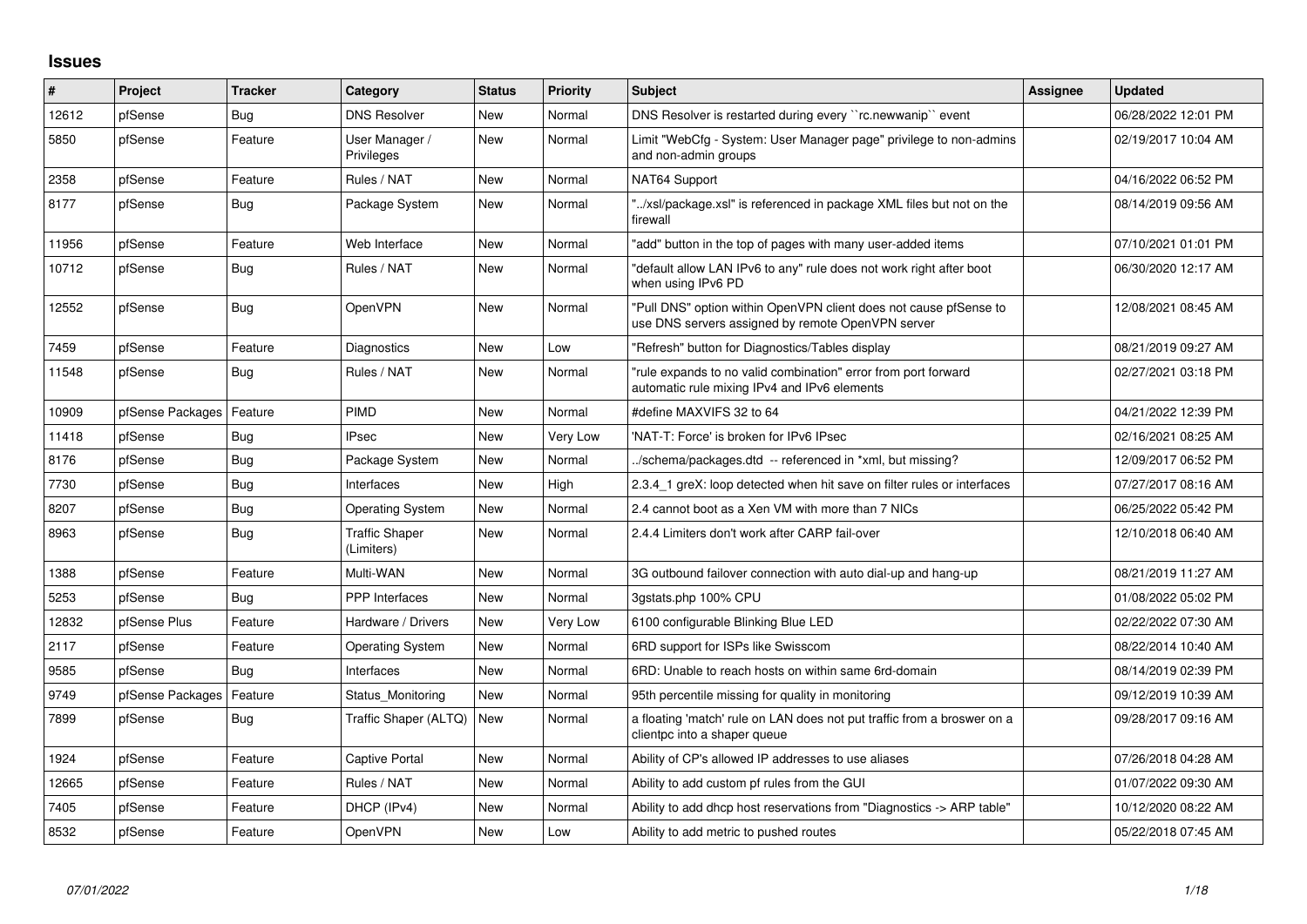## **Issues**

| ∦     | Project          | Tracker    | Category                            | <b>Status</b> | <b>Priority</b> | <b>Subject</b>                                                                                                         | Assignee | Updated             |
|-------|------------------|------------|-------------------------------------|---------------|-----------------|------------------------------------------------------------------------------------------------------------------------|----------|---------------------|
| 12612 | pfSense          | Bug        | <b>DNS Resolver</b>                 | <b>New</b>    | Normal          | DNS Resolver is restarted during every "rc.newwanip" event                                                             |          | 06/28/2022 12:01 PM |
| 5850  | pfSense          | Feature    | User Manager /<br>Privileges        | <b>New</b>    | Normal          | Limit "WebCfg - System: User Manager page" privilege to non-admins<br>and non-admin groups                             |          | 02/19/2017 10:04 AM |
| 2358  | pfSense          | Feature    | Rules / NAT                         | <b>New</b>    | Normal          | NAT64 Support                                                                                                          |          | 04/16/2022 06:52 PM |
| 8177  | pfSense          | Bug        | Package System                      | <b>New</b>    | Normal          | "/xsl/package.xsl" is referenced in package XML files but not on the<br>firewall                                       |          | 08/14/2019 09:56 AM |
| 11956 | pfSense          | Feature    | Web Interface                       | <b>New</b>    | Normal          | "add" button in the top of pages with many user-added items                                                            |          | 07/10/2021 01:01 PM |
| 10712 | pfSense          | Bug        | Rules / NAT                         | <b>New</b>    | Normal          | "default allow LAN IPv6 to any" rule does not work right after boot<br>when using IPv6 PD                              |          | 06/30/2020 12:17 AM |
| 12552 | pfSense          | Bug        | <b>OpenVPN</b>                      | <b>New</b>    | Normal          | "Pull DNS" option within OpenVPN client does not cause pfSense to<br>use DNS servers assigned by remote OpenVPN server |          | 12/08/2021 08:45 AM |
| 7459  | pfSense          | Feature    | Diagnostics                         | <b>New</b>    | Low             | "Refresh" button for Diagnostics/Tables display                                                                        |          | 08/21/2019 09:27 AM |
| 11548 | pfSense          | <b>Bug</b> | Rules / NAT                         | <b>New</b>    | Normal          | 'rule expands to no valid combination" error from port forward<br>automatic rule mixing IPv4 and IPv6 elements         |          | 02/27/2021 03:18 PM |
| 10909 | pfSense Packages | Feature    | <b>PIMD</b>                         | <b>New</b>    | Normal          | #define MAXVIFS 32 to 64                                                                                               |          | 04/21/2022 12:39 PM |
| 11418 | pfSense          | Bug        | <b>IPsec</b>                        | <b>New</b>    | Very Low        | 'NAT-T: Force' is broken for IPv6 IPsec                                                                                |          | 02/16/2021 08:25 AM |
| 8176  | pfSense          | Bug        | Package System                      | <b>New</b>    | Normal          | ./schema/packages.dtd -- referenced in *xml, but missing?                                                              |          | 12/09/2017 06:52 PM |
| 7730  | pfSense          | <b>Bug</b> | Interfaces                          | <b>New</b>    | High            | 2.3.4_1 greX: loop detected when hit save on filter rules or interfaces                                                |          | 07/27/2017 08:16 AM |
| 8207  | pfSense          | Bug        | Operating System                    | <b>New</b>    | Normal          | 2.4 cannot boot as a Xen VM with more than 7 NICs                                                                      |          | 06/25/2022 05:42 PM |
| 8963  | pfSense          | Bug        | <b>Traffic Shaper</b><br>(Limiters) | <b>New</b>    | Normal          | 2.4.4 Limiters don't work after CARP fail-over                                                                         |          | 12/10/2018 06:40 AM |
| 1388  | pfSense          | Feature    | Multi-WAN                           | <b>New</b>    | Normal          | 3G outbound failover connection with auto dial-up and hang-up                                                          |          | 08/21/2019 11:27 AM |
| 5253  | pfSense          | Bug        | PPP Interfaces                      | <b>New</b>    | Normal          | 3gstats.php 100% CPU                                                                                                   |          | 01/08/2022 05:02 PM |
| 12832 | pfSense Plus     | Feature    | Hardware / Drivers                  | <b>New</b>    | Very Low        | 6100 configurable Blinking Blue LED                                                                                    |          | 02/22/2022 07:30 AM |
| 2117  | pfSense          | Feature    | <b>Operating System</b>             | <b>New</b>    | Normal          | 6RD support for ISPs like Swisscom                                                                                     |          | 08/22/2014 10:40 AM |
| 9585  | pfSense          | Bug        | Interfaces                          | <b>New</b>    | Normal          | 6RD: Unable to reach hosts on within same 6rd-domain                                                                   |          | 08/14/2019 02:39 PM |
| 9749  | pfSense Packages | Feature    | Status Monitoring                   | <b>New</b>    | Normal          | 95th percentile missing for quality in monitoring                                                                      |          | 09/12/2019 10:39 AM |
| 7899  | pfSense          | Bug        | Traffic Shaper (ALTQ)               | New           | Normal          | a floating 'match' rule on LAN does not put traffic from a broswer on a<br>clientpc into a shaper queue                |          | 09/28/2017 09:16 AM |
| 1924  | pfSense          | Feature    | Captive Portal                      | <b>New</b>    | Normal          | Ability of CP's allowed IP addresses to use aliases                                                                    |          | 07/26/2018 04:28 AM |
| 12665 | pfSense          | Feature    | Rules / NAT                         | <b>New</b>    | Normal          | Ability to add custom pf rules from the GUI                                                                            |          | 01/07/2022 09:30 AM |
| 7405  | pfSense          | Feature    | DHCP (IPv4)                         | <b>New</b>    | Normal          | Ability to add dhcp host reservations from "Diagnostics -> ARP table"                                                  |          | 10/12/2020 08:22 AM |
| 8532  | pfSense          | Feature    | OpenVPN                             | <b>New</b>    | Low             | Ability to add metric to pushed routes                                                                                 |          | 05/22/2018 07:45 AM |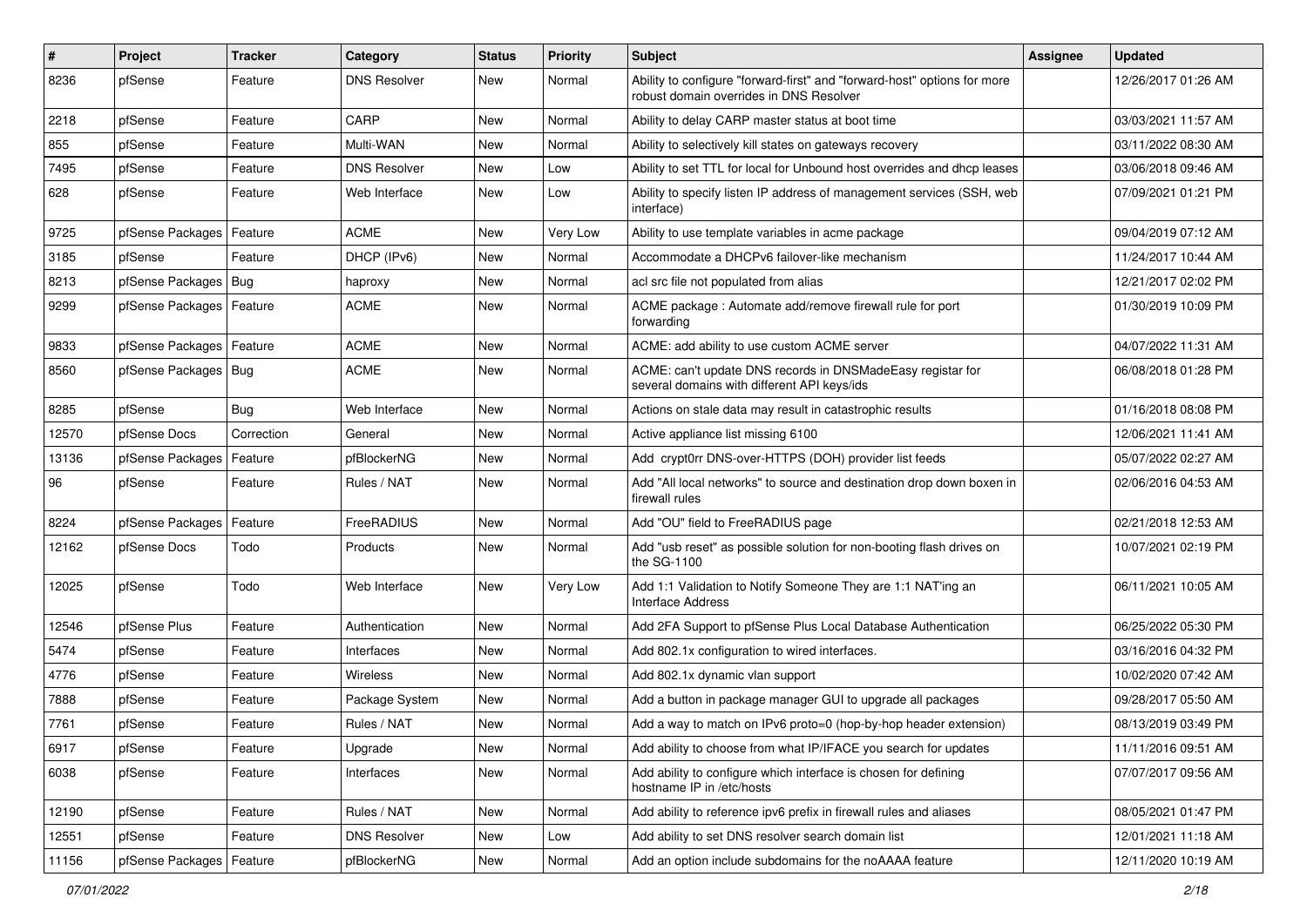| #     | Project                | <b>Tracker</b> | Category            | <b>Status</b> | Priority | <b>Subject</b>                                                                                                      | <b>Assignee</b> | <b>Updated</b>      |
|-------|------------------------|----------------|---------------------|---------------|----------|---------------------------------------------------------------------------------------------------------------------|-----------------|---------------------|
| 8236  | pfSense                | Feature        | <b>DNS Resolver</b> | New           | Normal   | Ability to configure "forward-first" and "forward-host" options for more<br>robust domain overrides in DNS Resolver |                 | 12/26/2017 01:26 AM |
| 2218  | pfSense                | Feature        | CARP                | New           | Normal   | Ability to delay CARP master status at boot time                                                                    |                 | 03/03/2021 11:57 AM |
| 855   | pfSense                | Feature        | Multi-WAN           | <b>New</b>    | Normal   | Ability to selectively kill states on gateways recovery                                                             |                 | 03/11/2022 08:30 AM |
| 7495  | pfSense                | Feature        | <b>DNS Resolver</b> | <b>New</b>    | Low      | Ability to set TTL for local for Unbound host overrides and dhcp leases                                             |                 | 03/06/2018 09:46 AM |
| 628   | pfSense                | Feature        | Web Interface       | <b>New</b>    | Low      | Ability to specify listen IP address of management services (SSH, web<br>interface)                                 |                 | 07/09/2021 01:21 PM |
| 9725  | pfSense Packages       | Feature        | <b>ACME</b>         | <b>New</b>    | Very Low | Ability to use template variables in acme package                                                                   |                 | 09/04/2019 07:12 AM |
| 3185  | pfSense                | Feature        | DHCP (IPv6)         | New           | Normal   | Accommodate a DHCPv6 failover-like mechanism                                                                        |                 | 11/24/2017 10:44 AM |
| 8213  | pfSense Packages       | Bug            | haproxy             | <b>New</b>    | Normal   | acl src file not populated from alias                                                                               |                 | 12/21/2017 02:02 PM |
| 9299  | pfSense Packages       | Feature        | <b>ACME</b>         | New           | Normal   | ACME package: Automate add/remove firewall rule for port<br>forwarding                                              |                 | 01/30/2019 10:09 PM |
| 9833  | pfSense Packages       | Feature        | <b>ACME</b>         | <b>New</b>    | Normal   | ACME: add ability to use custom ACME server                                                                         |                 | 04/07/2022 11:31 AM |
| 8560  | pfSense Packages   Bug |                | <b>ACME</b>         | New           | Normal   | ACME: can't update DNS records in DNSMadeEasy registar for<br>several domains with different API keys/ids           |                 | 06/08/2018 01:28 PM |
| 8285  | pfSense                | <b>Bug</b>     | Web Interface       | <b>New</b>    | Normal   | Actions on stale data may result in catastrophic results                                                            |                 | 01/16/2018 08:08 PM |
| 12570 | pfSense Docs           | Correction     | General             | New           | Normal   | Active appliance list missing 6100                                                                                  |                 | 12/06/2021 11:41 AM |
| 13136 | pfSense Packages       | Feature        | pfBlockerNG         | <b>New</b>    | Normal   | Add crypt0rr DNS-over-HTTPS (DOH) provider list feeds                                                               |                 | 05/07/2022 02:27 AM |
| 96    | pfSense                | Feature        | Rules / NAT         | New           | Normal   | Add "All local networks" to source and destination drop down boxen in<br>firewall rules                             |                 | 02/06/2016 04:53 AM |
| 8224  | pfSense Packages       | Feature        | FreeRADIUS          | <b>New</b>    | Normal   | Add "OU" field to FreeRADIUS page                                                                                   |                 | 02/21/2018 12:53 AM |
| 12162 | pfSense Docs           | Todo           | Products            | New           | Normal   | Add "usb reset" as possible solution for non-booting flash drives on<br>the SG-1100                                 |                 | 10/07/2021 02:19 PM |
| 12025 | pfSense                | Todo           | Web Interface       | <b>New</b>    | Very Low | Add 1:1 Validation to Notify Someone They are 1:1 NAT'ing an<br><b>Interface Address</b>                            |                 | 06/11/2021 10:05 AM |
| 12546 | pfSense Plus           | Feature        | Authentication      | <b>New</b>    | Normal   | Add 2FA Support to pfSense Plus Local Database Authentication                                                       |                 | 06/25/2022 05:30 PM |
| 5474  | pfSense                | Feature        | Interfaces          | New           | Normal   | Add 802.1x configuration to wired interfaces.                                                                       |                 | 03/16/2016 04:32 PM |
| 4776  | pfSense                | Feature        | <b>Wireless</b>     | New           | Normal   | Add 802.1x dynamic vlan support                                                                                     |                 | 10/02/2020 07:42 AM |
| 7888  | pfSense                | Feature        | Package System      | <b>New</b>    | Normal   | Add a button in package manager GUI to upgrade all packages                                                         |                 | 09/28/2017 05:50 AM |
| 7761  | pfSense                | Feature        | Rules / NAT         | <b>New</b>    | Normal   | Add a way to match on IPv6 proto=0 (hop-by-hop header extension)                                                    |                 | 08/13/2019 03:49 PM |
| 6917  | pfSense                | Feature        | Upgrade             | New           | Normal   | Add ability to choose from what IP/IFACE you search for updates                                                     |                 | 11/11/2016 09:51 AM |
| 6038  | pfSense                | Feature        | Interfaces          | New           | Normal   | Add ability to configure which interface is chosen for defining<br>hostname IP in /etc/hosts                        |                 | 07/07/2017 09:56 AM |
| 12190 | pfSense                | Feature        | Rules / NAT         | New           | Normal   | Add ability to reference ipv6 prefix in firewall rules and aliases                                                  |                 | 08/05/2021 01:47 PM |
| 12551 | pfSense                | Feature        | <b>DNS Resolver</b> | New           | Low      | Add ability to set DNS resolver search domain list                                                                  |                 | 12/01/2021 11:18 AM |
| 11156 | pfSense Packages       | Feature        | pfBlockerNG         | New           | Normal   | Add an option include subdomains for the noAAAA feature                                                             |                 | 12/11/2020 10:19 AM |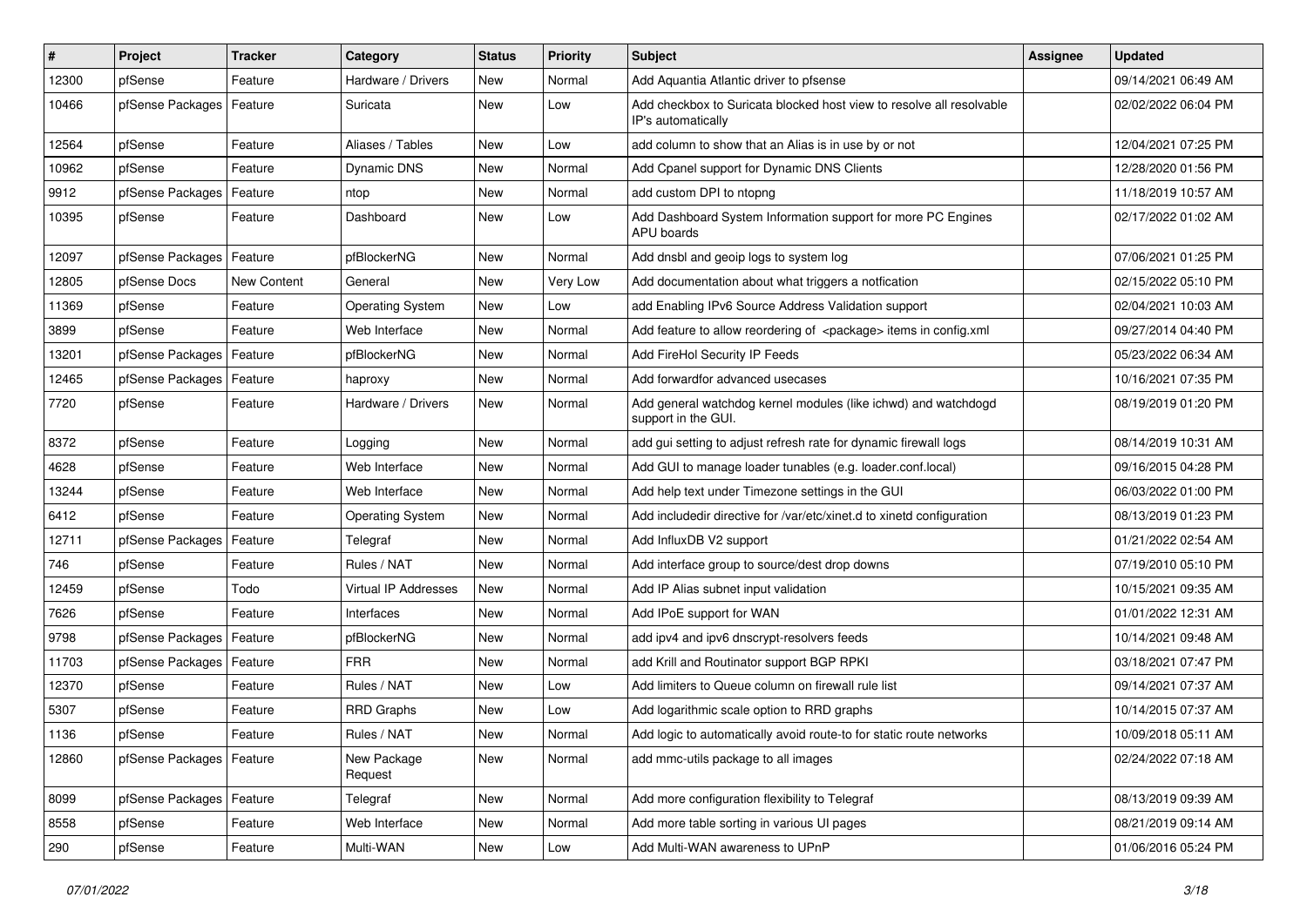| #     | Project                    | <b>Tracker</b> | Category                | <b>Status</b> | <b>Priority</b> | <b>Subject</b>                                                                             | <b>Assignee</b> | <b>Updated</b>      |
|-------|----------------------------|----------------|-------------------------|---------------|-----------------|--------------------------------------------------------------------------------------------|-----------------|---------------------|
| 12300 | pfSense                    | Feature        | Hardware / Drivers      | New           | Normal          | Add Aquantia Atlantic driver to pfsense                                                    |                 | 09/14/2021 06:49 AM |
| 10466 | pfSense Packages   Feature |                | Suricata                | New           | Low             | Add checkbox to Suricata blocked host view to resolve all resolvable<br>IP's automatically |                 | 02/02/2022 06:04 PM |
| 12564 | pfSense                    | Feature        | Aliases / Tables        | <b>New</b>    | Low             | add column to show that an Alias is in use by or not                                       |                 | 12/04/2021 07:25 PM |
| 10962 | pfSense                    | Feature        | Dynamic DNS             | <b>New</b>    | Normal          | Add Cpanel support for Dynamic DNS Clients                                                 |                 | 12/28/2020 01:56 PM |
| 9912  | pfSense Packages           | Feature        | ntop                    | <b>New</b>    | Normal          | add custom DPI to ntopng                                                                   |                 | 11/18/2019 10:57 AM |
| 10395 | pfSense                    | Feature        | Dashboard               | New           | Low             | Add Dashboard System Information support for more PC Engines<br>APU boards                 |                 | 02/17/2022 01:02 AM |
| 12097 | pfSense Packages           | Feature        | pfBlockerNG             | New           | Normal          | Add dnsbl and geoip logs to system log                                                     |                 | 07/06/2021 01:25 PM |
| 12805 | pfSense Docs               | New Content    | General                 | <b>New</b>    | Very Low        | Add documentation about what triggers a notfication                                        |                 | 02/15/2022 05:10 PM |
| 11369 | pfSense                    | Feature        | <b>Operating System</b> | New           | Low             | add Enabling IPv6 Source Address Validation support                                        |                 | 02/04/2021 10:03 AM |
| 3899  | pfSense                    | Feature        | Web Interface           | <b>New</b>    | Normal          | Add feature to allow reordering of <package> items in config.xml</package>                 |                 | 09/27/2014 04:40 PM |
| 13201 | pfSense Packages           | Feature        | pfBlockerNG             | <b>New</b>    | Normal          | Add FireHol Security IP Feeds                                                              |                 | 05/23/2022 06:34 AM |
| 12465 | pfSense Packages           | Feature        | haproxy                 | <b>New</b>    | Normal          | Add forwardfor advanced usecases                                                           |                 | 10/16/2021 07:35 PM |
| 7720  | pfSense                    | Feature        | Hardware / Drivers      | New           | Normal          | Add general watchdog kernel modules (like ichwd) and watchdogd<br>support in the GUI.      |                 | 08/19/2019 01:20 PM |
| 8372  | pfSense                    | Feature        | Logging                 | <b>New</b>    | Normal          | add gui setting to adjust refresh rate for dynamic firewall logs                           |                 | 08/14/2019 10:31 AM |
| 4628  | pfSense                    | Feature        | Web Interface           | <b>New</b>    | Normal          | Add GUI to manage loader tunables (e.g. loader.conf.local)                                 |                 | 09/16/2015 04:28 PM |
| 13244 | pfSense                    | Feature        | Web Interface           | New           | Normal          | Add help text under Timezone settings in the GUI                                           |                 | 06/03/2022 01:00 PM |
| 6412  | pfSense                    | Feature        | <b>Operating System</b> | <b>New</b>    | Normal          | Add includedir directive for /var/etc/xinet.d to xinetd configuration                      |                 | 08/13/2019 01:23 PM |
| 12711 | pfSense Packages           | Feature        | Telegraf                | <b>New</b>    | Normal          | Add InfluxDB V2 support                                                                    |                 | 01/21/2022 02:54 AM |
| 746   | pfSense                    | Feature        | Rules / NAT             | New           | Normal          | Add interface group to source/dest drop downs                                              |                 | 07/19/2010 05:10 PM |
| 12459 | pfSense                    | Todo           | Virtual IP Addresses    | <b>New</b>    | Normal          | Add IP Alias subnet input validation                                                       |                 | 10/15/2021 09:35 AM |
| 7626  | pfSense                    | Feature        | Interfaces              | New           | Normal          | Add IPoE support for WAN                                                                   |                 | 01/01/2022 12:31 AM |
| 9798  | pfSense Packages           | Feature        | pfBlockerNG             | <b>New</b>    | Normal          | add ipv4 and ipv6 dnscrypt-resolvers feeds                                                 |                 | 10/14/2021 09:48 AM |
| 11703 | pfSense Packages           | Feature        | <b>FRR</b>              | <b>New</b>    | Normal          | add Krill and Routinator support BGP RPKI                                                  |                 | 03/18/2021 07:47 PM |
| 12370 | pfSense                    | Feature        | Rules / NAT             | <b>New</b>    | Low             | Add limiters to Queue column on firewall rule list                                         |                 | 09/14/2021 07:37 AM |
| 5307  | pfSense                    | Feature        | <b>RRD Graphs</b>       | New           | Low             | Add logarithmic scale option to RRD graphs                                                 |                 | 10/14/2015 07:37 AM |
| 1136  | pfSense                    | Feature        | Rules / NAT             | New           | Normal          | Add logic to automatically avoid route-to for static route networks                        |                 | 10/09/2018 05:11 AM |
| 12860 | pfSense Packages   Feature |                | New Package<br>Request  | New           | Normal          | add mmc-utils package to all images                                                        |                 | 02/24/2022 07:18 AM |
| 8099  | pfSense Packages   Feature |                | Telegraf                | New           | Normal          | Add more configuration flexibility to Telegraf                                             |                 | 08/13/2019 09:39 AM |
| 8558  | pfSense                    | Feature        | Web Interface           | New           | Normal          | Add more table sorting in various UI pages                                                 |                 | 08/21/2019 09:14 AM |
| 290   | pfSense                    | Feature        | Multi-WAN               | New           | Low             | Add Multi-WAN awareness to UPnP                                                            |                 | 01/06/2016 05:24 PM |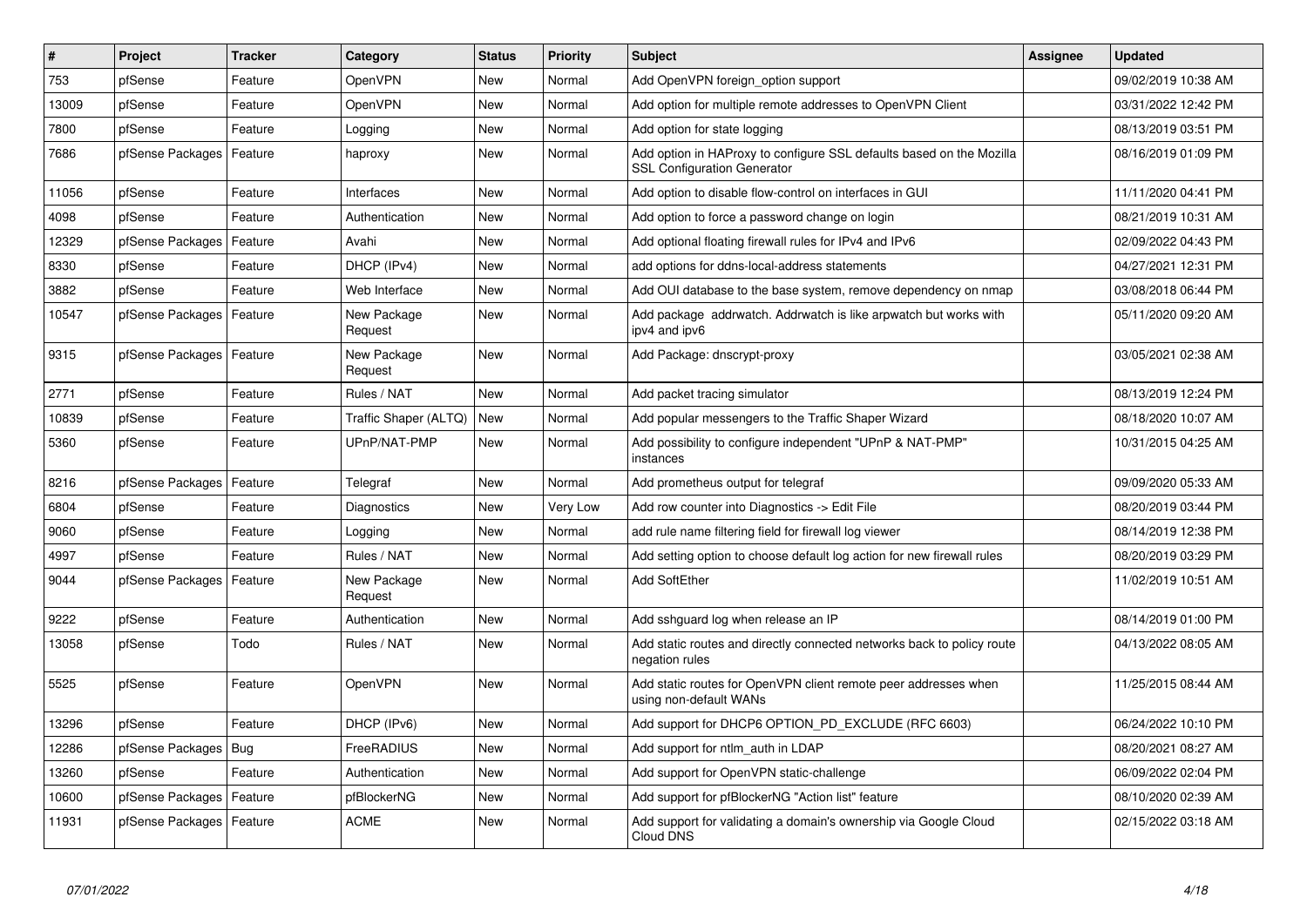| $\vert$ # | Project                    | <b>Tracker</b> | Category               | <b>Status</b> | <b>Priority</b> | <b>Subject</b>                                                                                             | <b>Assignee</b> | <b>Updated</b>      |
|-----------|----------------------------|----------------|------------------------|---------------|-----------------|------------------------------------------------------------------------------------------------------------|-----------------|---------------------|
| 753       | pfSense                    | Feature        | OpenVPN                | <b>New</b>    | Normal          | Add OpenVPN foreign_option support                                                                         |                 | 09/02/2019 10:38 AM |
| 13009     | pfSense                    | Feature        | OpenVPN                | <b>New</b>    | Normal          | Add option for multiple remote addresses to OpenVPN Client                                                 |                 | 03/31/2022 12:42 PM |
| 7800      | pfSense                    | Feature        | Logging                | <b>New</b>    | Normal          | Add option for state logging                                                                               |                 | 08/13/2019 03:51 PM |
| 7686      | pfSense Packages           | Feature        | haproxy                | <b>New</b>    | Normal          | Add option in HAProxy to configure SSL defaults based on the Mozilla<br><b>SSL Configuration Generator</b> |                 | 08/16/2019 01:09 PM |
| 11056     | pfSense                    | Feature        | Interfaces             | <b>New</b>    | Normal          | Add option to disable flow-control on interfaces in GUI                                                    |                 | 11/11/2020 04:41 PM |
| 4098      | pfSense                    | Feature        | Authentication         | <b>New</b>    | Normal          | Add option to force a password change on login                                                             |                 | 08/21/2019 10:31 AM |
| 12329     | pfSense Packages           | Feature        | Avahi                  | <b>New</b>    | Normal          | Add optional floating firewall rules for IPv4 and IPv6                                                     |                 | 02/09/2022 04:43 PM |
| 8330      | pfSense                    | Feature        | DHCP (IPv4)            | <b>New</b>    | Normal          | add options for ddns-local-address statements                                                              |                 | 04/27/2021 12:31 PM |
| 3882      | pfSense                    | Feature        | Web Interface          | <b>New</b>    | Normal          | Add OUI database to the base system, remove dependency on nmap                                             |                 | 03/08/2018 06:44 PM |
| 10547     | pfSense Packages           | Feature        | New Package<br>Request | <b>New</b>    | Normal          | Add package addrwatch. Addrwatch is like arpwatch but works with<br>ipv4 and ipv6                          |                 | 05/11/2020 09:20 AM |
| 9315      | pfSense Packages   Feature |                | New Package<br>Request | <b>New</b>    | Normal          | Add Package: dnscrypt-proxy                                                                                |                 | 03/05/2021 02:38 AM |
| 2771      | pfSense                    | Feature        | Rules / NAT            | <b>New</b>    | Normal          | Add packet tracing simulator                                                                               |                 | 08/13/2019 12:24 PM |
| 10839     | pfSense                    | Feature        | Traffic Shaper (ALTQ)  | <b>New</b>    | Normal          | Add popular messengers to the Traffic Shaper Wizard                                                        |                 | 08/18/2020 10:07 AM |
| 5360      | pfSense                    | Feature        | UPnP/NAT-PMP           | <b>New</b>    | Normal          | Add possibility to configure independent "UPnP & NAT-PMP"<br>instances                                     |                 | 10/31/2015 04:25 AM |
| 8216      | pfSense Packages           | Feature        | Telegraf               | <b>New</b>    | Normal          | Add prometheus output for telegraf                                                                         |                 | 09/09/2020 05:33 AM |
| 6804      | pfSense                    | Feature        | Diagnostics            | <b>New</b>    | Very Low        | Add row counter into Diagnostics -> Edit File                                                              |                 | 08/20/2019 03:44 PM |
| 9060      | pfSense                    | Feature        | Logging                | <b>New</b>    | Normal          | add rule name filtering field for firewall log viewer                                                      |                 | 08/14/2019 12:38 PM |
| 4997      | pfSense                    | Feature        | Rules / NAT            | <b>New</b>    | Normal          | Add setting option to choose default log action for new firewall rules                                     |                 | 08/20/2019 03:29 PM |
| 9044      | pfSense Packages           | Feature        | New Package<br>Request | <b>New</b>    | Normal          | <b>Add SoftEther</b>                                                                                       |                 | 11/02/2019 10:51 AM |
| 9222      | pfSense                    | Feature        | Authentication         | <b>New</b>    | Normal          | Add sshguard log when release an IP                                                                        |                 | 08/14/2019 01:00 PM |
| 13058     | pfSense                    | Todo           | Rules / NAT            | New           | Normal          | Add static routes and directly connected networks back to policy route<br>negation rules                   |                 | 04/13/2022 08:05 AM |
| 5525      | pfSense                    | Feature        | OpenVPN                | <b>New</b>    | Normal          | Add static routes for OpenVPN client remote peer addresses when<br>using non-default WANs                  |                 | 11/25/2015 08:44 AM |
| 13296     | pfSense                    | Feature        | DHCP (IPv6)            | <b>New</b>    | Normal          | Add support for DHCP6 OPTION_PD_EXCLUDE (RFC 6603)                                                         |                 | 06/24/2022 10:10 PM |
| 12286     | pfSense Packages           | <b>Bug</b>     | FreeRADIUS             | <b>New</b>    | Normal          | Add support for ntlm auth in LDAP                                                                          |                 | 08/20/2021 08:27 AM |
| 13260     | pfSense                    | Feature        | Authentication         | <b>New</b>    | Normal          | Add support for OpenVPN static-challenge                                                                   |                 | 06/09/2022 02:04 PM |
| 10600     | pfSense Packages           | Feature        | pfBlockerNG            | New           | Normal          | Add support for pfBlockerNG "Action list" feature                                                          |                 | 08/10/2020 02:39 AM |
| 11931     | pfSense Packages   Feature |                | <b>ACME</b>            | <b>New</b>    | Normal          | Add support for validating a domain's ownership via Google Cloud<br>Cloud DNS                              |                 | 02/15/2022 03:18 AM |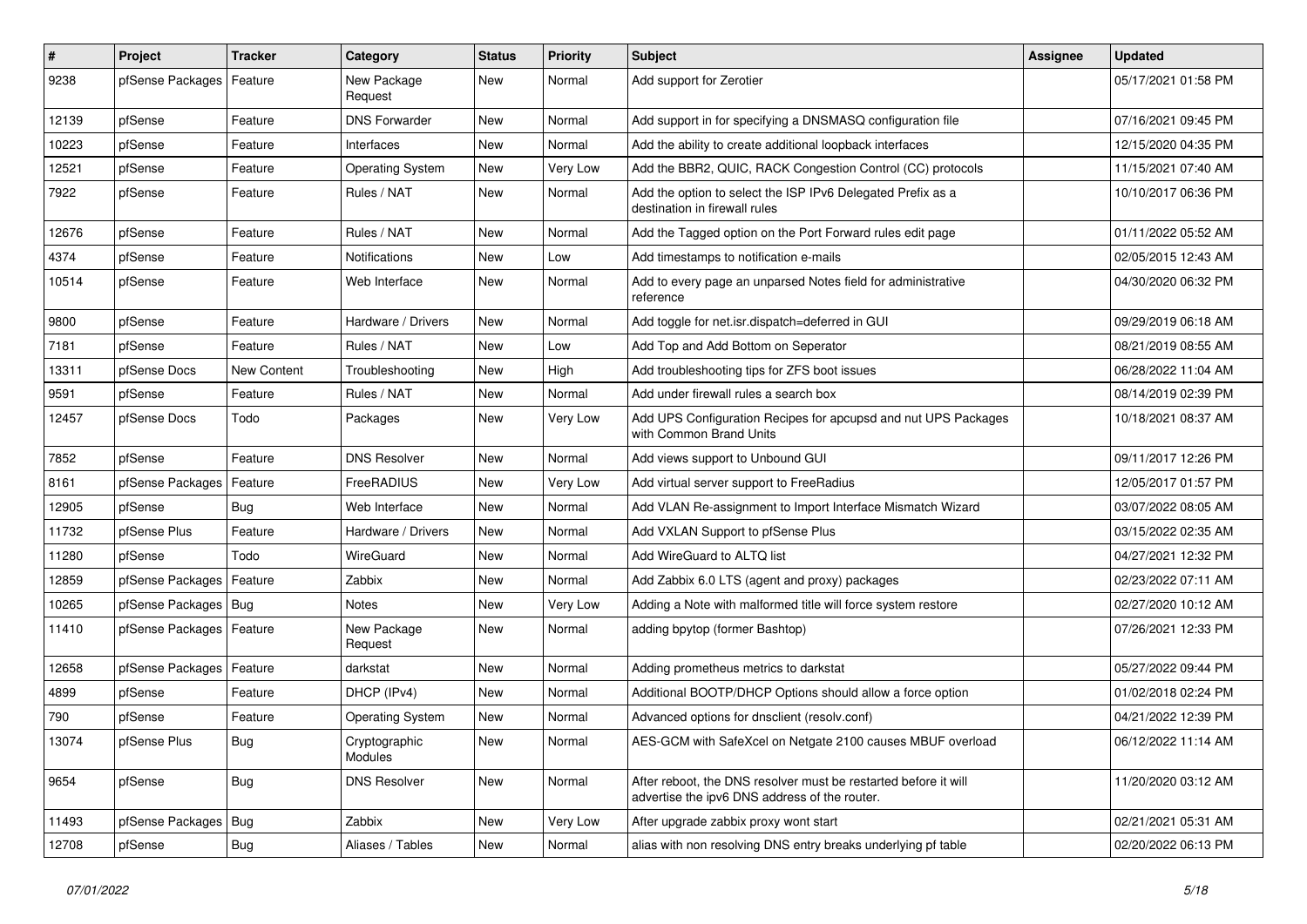| $\vert$ # | Project                    | <b>Tracker</b> | Category                 | <b>Status</b> | <b>Priority</b> | <b>Subject</b>                                                                                                   | <b>Assignee</b> | <b>Updated</b>      |
|-----------|----------------------------|----------------|--------------------------|---------------|-----------------|------------------------------------------------------------------------------------------------------------------|-----------------|---------------------|
| 9238      | pfSense Packages           | Feature        | New Package<br>Request   | New           | Normal          | Add support for Zerotier                                                                                         |                 | 05/17/2021 01:58 PM |
| 12139     | pfSense                    | Feature        | <b>DNS Forwarder</b>     | New           | Normal          | Add support in for specifying a DNSMASQ configuration file                                                       |                 | 07/16/2021 09:45 PM |
| 10223     | pfSense                    | Feature        | Interfaces               | <b>New</b>    | Normal          | Add the ability to create additional loopback interfaces                                                         |                 | 12/15/2020 04:35 PM |
| 12521     | pfSense                    | Feature        | <b>Operating System</b>  | <b>New</b>    | Very Low        | Add the BBR2, QUIC, RACK Congestion Control (CC) protocols                                                       |                 | 11/15/2021 07:40 AM |
| 7922      | pfSense                    | Feature        | Rules / NAT              | New           | Normal          | Add the option to select the ISP IPv6 Delegated Prefix as a<br>destination in firewall rules                     |                 | 10/10/2017 06:36 PM |
| 12676     | pfSense                    | Feature        | Rules / NAT              | <b>New</b>    | Normal          | Add the Tagged option on the Port Forward rules edit page                                                        |                 | 01/11/2022 05:52 AM |
| 4374      | pfSense                    | Feature        | Notifications            | New           | Low             | Add timestamps to notification e-mails                                                                           |                 | 02/05/2015 12:43 AM |
| 10514     | pfSense                    | Feature        | Web Interface            | <b>New</b>    | Normal          | Add to every page an unparsed Notes field for administrative<br>reference                                        |                 | 04/30/2020 06:32 PM |
| 9800      | pfSense                    | Feature        | Hardware / Drivers       | <b>New</b>    | Normal          | Add toggle for net.isr.dispatch=deferred in GUI                                                                  |                 | 09/29/2019 06:18 AM |
| 7181      | pfSense                    | Feature        | Rules / NAT              | <b>New</b>    | Low             | Add Top and Add Bottom on Seperator                                                                              |                 | 08/21/2019 08:55 AM |
| 13311     | pfSense Docs               | New Content    | Troubleshooting          | <b>New</b>    | High            | Add troubleshooting tips for ZFS boot issues                                                                     |                 | 06/28/2022 11:04 AM |
| 9591      | pfSense                    | Feature        | Rules / NAT              | <b>New</b>    | Normal          | Add under firewall rules a search box                                                                            |                 | 08/14/2019 02:39 PM |
| 12457     | pfSense Docs               | Todo           | Packages                 | New           | Very Low        | Add UPS Configuration Recipes for apcupsd and nut UPS Packages<br>with Common Brand Units                        |                 | 10/18/2021 08:37 AM |
| 7852      | pfSense                    | Feature        | <b>DNS Resolver</b>      | <b>New</b>    | Normal          | Add views support to Unbound GUI                                                                                 |                 | 09/11/2017 12:26 PM |
| 8161      | pfSense Packages           | Feature        | FreeRADIUS               | New           | Very Low        | Add virtual server support to FreeRadius                                                                         |                 | 12/05/2017 01:57 PM |
| 12905     | pfSense                    | <b>Bug</b>     | Web Interface            | <b>New</b>    | Normal          | Add VLAN Re-assignment to Import Interface Mismatch Wizard                                                       |                 | 03/07/2022 08:05 AM |
| 11732     | pfSense Plus               | Feature        | Hardware / Drivers       | <b>New</b>    | Normal          | Add VXLAN Support to pfSense Plus                                                                                |                 | 03/15/2022 02:35 AM |
| 11280     | pfSense                    | Todo           | WireGuard                | New           | Normal          | Add WireGuard to ALTQ list                                                                                       |                 | 04/27/2021 12:32 PM |
| 12859     | pfSense Packages           | Feature        | Zabbix                   | New           | Normal          | Add Zabbix 6.0 LTS (agent and proxy) packages                                                                    |                 | 02/23/2022 07:11 AM |
| 10265     | pfSense Packages   Bug     |                | Notes                    | New           | Very Low        | Adding a Note with malformed title will force system restore                                                     |                 | 02/27/2020 10:12 AM |
| 11410     | pfSense Packages   Feature |                | New Package<br>Request   | New           | Normal          | adding bpytop (former Bashtop)                                                                                   |                 | 07/26/2021 12:33 PM |
| 12658     | pfSense Packages   Feature |                | darkstat                 | New           | Normal          | Adding prometheus metrics to darkstat                                                                            |                 | 05/27/2022 09:44 PM |
| 4899      | pfSense                    | Feature        | DHCP (IPv4)              | New           | Normal          | Additional BOOTP/DHCP Options should allow a force option                                                        |                 | 01/02/2018 02:24 PM |
| 790       | pfSense                    | Feature        | <b>Operating System</b>  | <b>New</b>    | Normal          | Advanced options for dnsclient (resolv.conf)                                                                     |                 | 04/21/2022 12:39 PM |
| 13074     | pfSense Plus               | Bug            | Cryptographic<br>Modules | New           | Normal          | AES-GCM with SafeXcel on Netgate 2100 causes MBUF overload                                                       |                 | 06/12/2022 11:14 AM |
| 9654      | pfSense                    | Bug            | <b>DNS Resolver</b>      | New           | Normal          | After reboot, the DNS resolver must be restarted before it will<br>advertise the ipv6 DNS address of the router. |                 | 11/20/2020 03:12 AM |
| 11493     | pfSense Packages   Bug     |                | Zabbix                   | New           | Very Low        | After upgrade zabbix proxy wont start                                                                            |                 | 02/21/2021 05:31 AM |
| 12708     | pfSense                    | <b>Bug</b>     | Aliases / Tables         | New           | Normal          | alias with non resolving DNS entry breaks underlying pf table                                                    |                 | 02/20/2022 06:13 PM |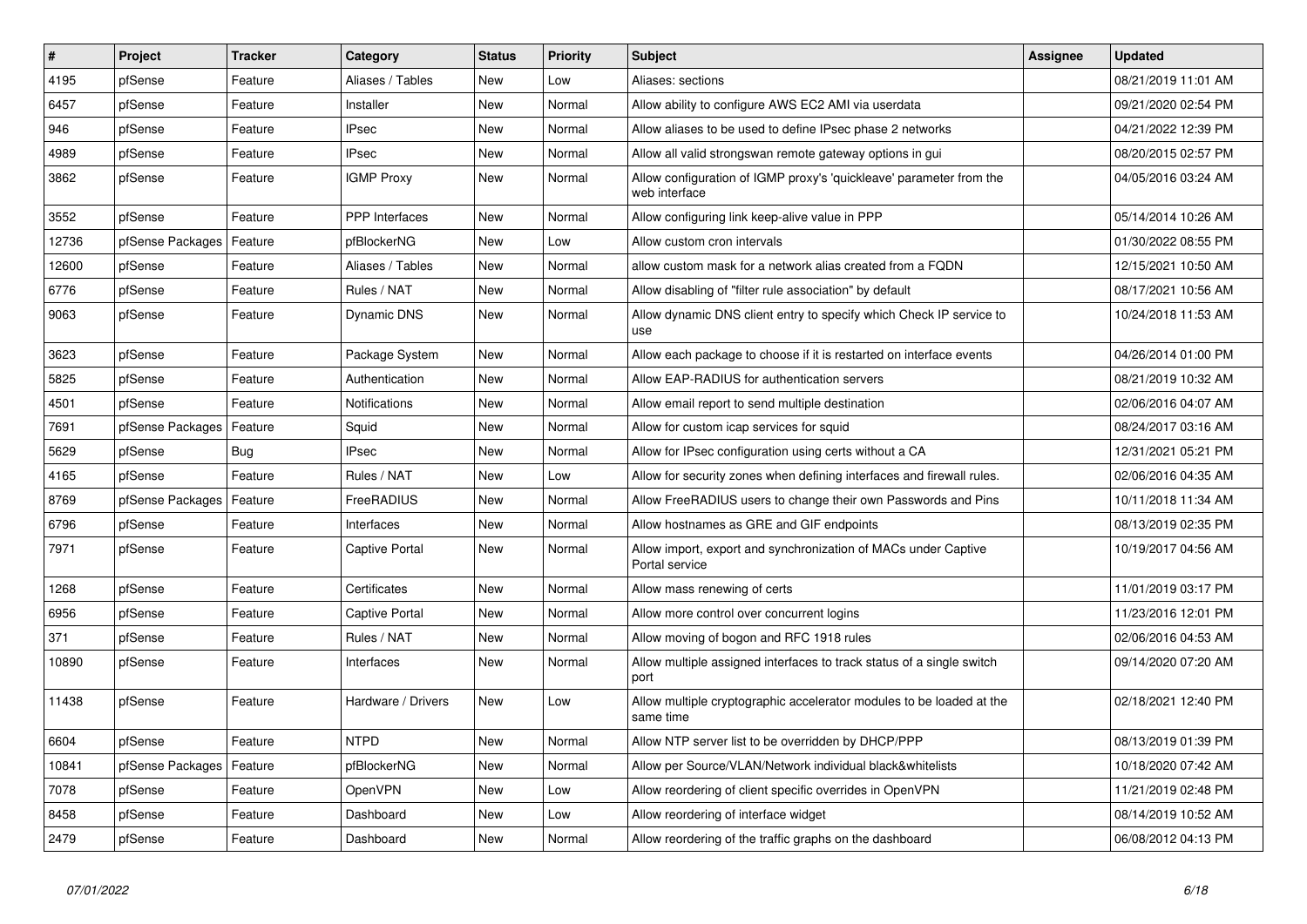| $\sharp$ | Project          | <b>Tracker</b> | Category              | <b>Status</b> | <b>Priority</b> | <b>Subject</b>                                                                       | <b>Assignee</b> | <b>Updated</b>      |
|----------|------------------|----------------|-----------------------|---------------|-----------------|--------------------------------------------------------------------------------------|-----------------|---------------------|
| 4195     | pfSense          | Feature        | Aliases / Tables      | <b>New</b>    | Low             | Aliases: sections                                                                    |                 | 08/21/2019 11:01 AM |
| 6457     | pfSense          | Feature        | Installer             | New           | Normal          | Allow ability to configure AWS EC2 AMI via userdata                                  |                 | 09/21/2020 02:54 PM |
| 946      | pfSense          | Feature        | <b>IPsec</b>          | New           | Normal          | Allow aliases to be used to define IPsec phase 2 networks                            |                 | 04/21/2022 12:39 PM |
| 4989     | pfSense          | Feature        | <b>IPsec</b>          | <b>New</b>    | Normal          | Allow all valid strongswan remote gateway options in gui                             |                 | 08/20/2015 02:57 PM |
| 3862     | pfSense          | Feature        | <b>IGMP Proxy</b>     | New           | Normal          | Allow configuration of IGMP proxy's 'quickleave' parameter from the<br>web interface |                 | 04/05/2016 03:24 AM |
| 3552     | pfSense          | Feature        | <b>PPP</b> Interfaces | <b>New</b>    | Normal          | Allow configuring link keep-alive value in PPP                                       |                 | 05/14/2014 10:26 AM |
| 12736    | pfSense Packages | Feature        | pfBlockerNG           | <b>New</b>    | Low             | Allow custom cron intervals                                                          |                 | 01/30/2022 08:55 PM |
| 12600    | pfSense          | Feature        | Aliases / Tables      | <b>New</b>    | Normal          | allow custom mask for a network alias created from a FQDN                            |                 | 12/15/2021 10:50 AM |
| 6776     | pfSense          | Feature        | Rules / NAT           | New           | Normal          | Allow disabling of "filter rule association" by default                              |                 | 08/17/2021 10:56 AM |
| 9063     | pfSense          | Feature        | Dynamic DNS           | <b>New</b>    | Normal          | Allow dynamic DNS client entry to specify which Check IP service to<br>use           |                 | 10/24/2018 11:53 AM |
| 3623     | pfSense          | Feature        | Package System        | New           | Normal          | Allow each package to choose if it is restarted on interface events                  |                 | 04/26/2014 01:00 PM |
| 5825     | pfSense          | Feature        | Authentication        | <b>New</b>    | Normal          | Allow EAP-RADIUS for authentication servers                                          |                 | 08/21/2019 10:32 AM |
| 4501     | pfSense          | Feature        | Notifications         | <b>New</b>    | Normal          | Allow email report to send multiple destination                                      |                 | 02/06/2016 04:07 AM |
| 7691     | pfSense Packages | Feature        | Squid                 | <b>New</b>    | Normal          | Allow for custom icap services for squid                                             |                 | 08/24/2017 03:16 AM |
| 5629     | pfSense          | Bug            | <b>IPsec</b>          | <b>New</b>    | Normal          | Allow for IPsec configuration using certs without a CA                               |                 | 12/31/2021 05:21 PM |
| 4165     | pfSense          | Feature        | Rules / NAT           | <b>New</b>    | Low             | Allow for security zones when defining interfaces and firewall rules.                |                 | 02/06/2016 04:35 AM |
| 8769     | pfSense Packages | Feature        | FreeRADIUS            | <b>New</b>    | Normal          | Allow FreeRADIUS users to change their own Passwords and Pins                        |                 | 10/11/2018 11:34 AM |
| 6796     | pfSense          | Feature        | Interfaces            | <b>New</b>    | Normal          | Allow hostnames as GRE and GIF endpoints                                             |                 | 08/13/2019 02:35 PM |
| 7971     | pfSense          | Feature        | Captive Portal        | <b>New</b>    | Normal          | Allow import, export and synchronization of MACs under Captive<br>Portal service     |                 | 10/19/2017 04:56 AM |
| 1268     | pfSense          | Feature        | Certificates          | <b>New</b>    | Normal          | Allow mass renewing of certs                                                         |                 | 11/01/2019 03:17 PM |
| 6956     | pfSense          | Feature        | Captive Portal        | <b>New</b>    | Normal          | Allow more control over concurrent logins                                            |                 | 11/23/2016 12:01 PM |
| 371      | pfSense          | Feature        | Rules / NAT           | <b>New</b>    | Normal          | Allow moving of bogon and RFC 1918 rules                                             |                 | 02/06/2016 04:53 AM |
| 10890    | pfSense          | Feature        | Interfaces            | New           | Normal          | Allow multiple assigned interfaces to track status of a single switch<br>port        |                 | 09/14/2020 07:20 AM |
| 11438    | pfSense          | Feature        | Hardware / Drivers    | New           | Low             | Allow multiple cryptographic accelerator modules to be loaded at the<br>same time    |                 | 02/18/2021 12:40 PM |
| 6604     | pfSense          | Feature        | <b>NTPD</b>           | <b>New</b>    | Normal          | Allow NTP server list to be overridden by DHCP/PPP                                   |                 | 08/13/2019 01:39 PM |
| 10841    | pfSense Packages | Feature        | pfBlockerNG           | New           | Normal          | Allow per Source/VLAN/Network individual black&whitelists                            |                 | 10/18/2020 07:42 AM |
| 7078     | pfSense          | Feature        | OpenVPN               | New           | Low             | Allow reordering of client specific overrides in OpenVPN                             |                 | 11/21/2019 02:48 PM |
| 8458     | pfSense          | Feature        | Dashboard             | New           | Low             | Allow reordering of interface widget                                                 |                 | 08/14/2019 10:52 AM |
| 2479     | pfSense          | Feature        | Dashboard             | New           | Normal          | Allow reordering of the traffic graphs on the dashboard                              |                 | 06/08/2012 04:13 PM |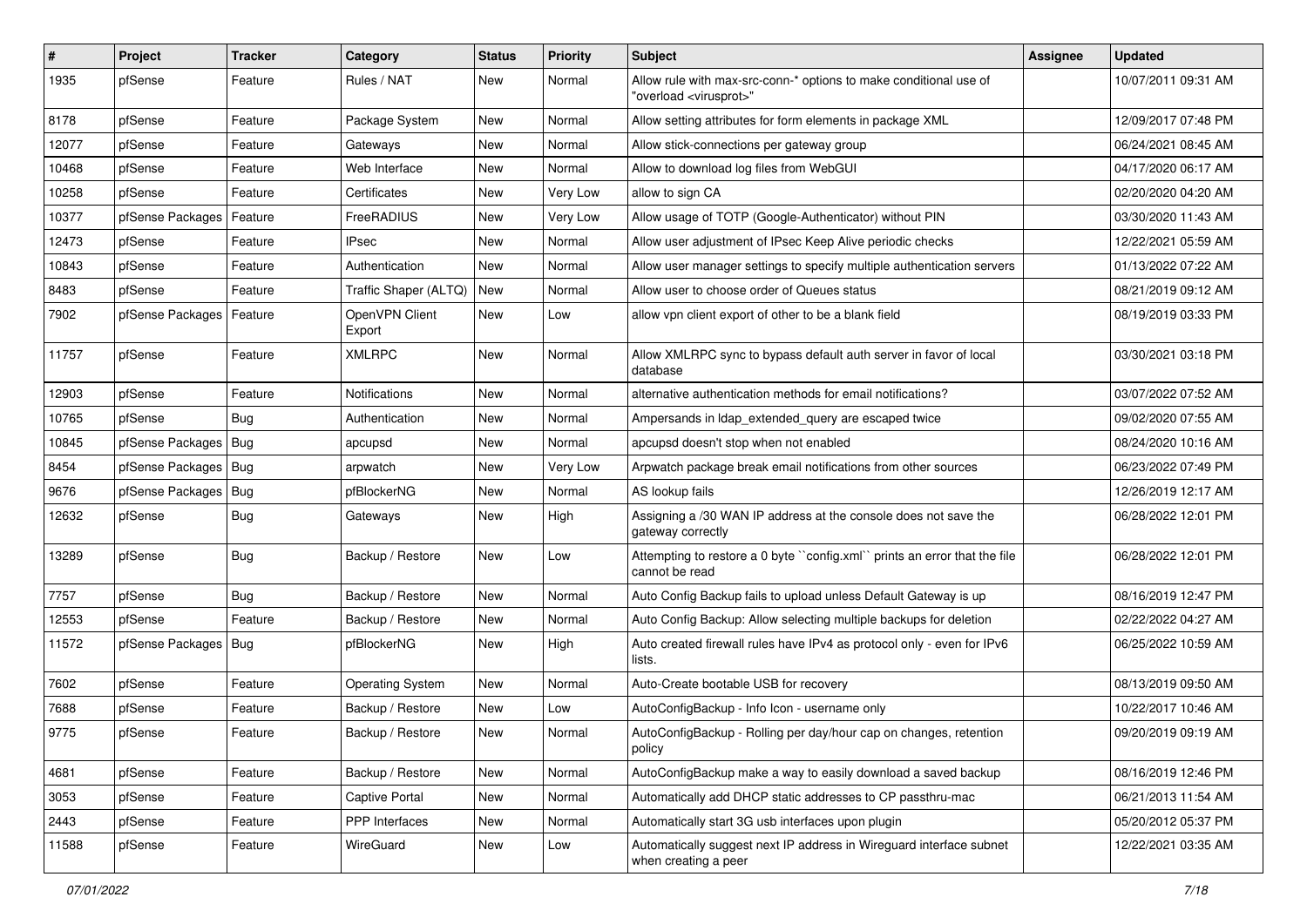| $\vert$ # | Project                    | <b>Tracker</b> | Category                 | <b>Status</b> | <b>Priority</b> | Subject                                                                                                 | <b>Assignee</b> | <b>Updated</b>      |
|-----------|----------------------------|----------------|--------------------------|---------------|-----------------|---------------------------------------------------------------------------------------------------------|-----------------|---------------------|
| 1935      | pfSense                    | Feature        | Rules / NAT              | New           | Normal          | Allow rule with max-src-conn-* options to make conditional use of<br>"overload <virusprot>"</virusprot> |                 | 10/07/2011 09:31 AM |
| 8178      | pfSense                    | Feature        | Package System           | New           | Normal          | Allow setting attributes for form elements in package XML                                               |                 | 12/09/2017 07:48 PM |
| 12077     | pfSense                    | Feature        | Gateways                 | <b>New</b>    | Normal          | Allow stick-connections per gateway group                                                               |                 | 06/24/2021 08:45 AM |
| 10468     | pfSense                    | Feature        | Web Interface            | <b>New</b>    | Normal          | Allow to download log files from WebGUI                                                                 |                 | 04/17/2020 06:17 AM |
| 10258     | pfSense                    | Feature        | Certificates             | New           | Very Low        | allow to sign CA                                                                                        |                 | 02/20/2020 04:20 AM |
| 10377     | pfSense Packages   Feature |                | FreeRADIUS               | New           | Very Low        | Allow usage of TOTP (Google-Authenticator) without PIN                                                  |                 | 03/30/2020 11:43 AM |
| 12473     | pfSense                    | Feature        | <b>IPsec</b>             | <b>New</b>    | Normal          | Allow user adjustment of IPsec Keep Alive periodic checks                                               |                 | 12/22/2021 05:59 AM |
| 10843     | pfSense                    | Feature        | Authentication           | <b>New</b>    | Normal          | Allow user manager settings to specify multiple authentication servers                                  |                 | 01/13/2022 07:22 AM |
| 8483      | pfSense                    | Feature        | Traffic Shaper (ALTQ)    | <b>New</b>    | Normal          | Allow user to choose order of Queues status                                                             |                 | 08/21/2019 09:12 AM |
| 7902      | pfSense Packages   Feature |                | OpenVPN Client<br>Export | New           | Low             | allow vpn client export of other to be a blank field                                                    |                 | 08/19/2019 03:33 PM |
| 11757     | pfSense                    | Feature        | <b>XMLRPC</b>            | New           | Normal          | Allow XMLRPC sync to bypass default auth server in favor of local<br>database                           |                 | 03/30/2021 03:18 PM |
| 12903     | pfSense                    | Feature        | Notifications            | New           | Normal          | alternative authentication methods for email notifications?                                             |                 | 03/07/2022 07:52 AM |
| 10765     | pfSense                    | Bug            | Authentication           | <b>New</b>    | Normal          | Ampersands in Idap_extended_query are escaped twice                                                     |                 | 09/02/2020 07:55 AM |
| 10845     | pfSense Packages   Bug     |                | apcupsd                  | New           | Normal          | apcupsd doesn't stop when not enabled                                                                   |                 | 08/24/2020 10:16 AM |
| 8454      | pfSense Packages   Bug     |                | arpwatch                 | <b>New</b>    | Very Low        | Arpwatch package break email notifications from other sources                                           |                 | 06/23/2022 07:49 PM |
| 9676      | pfSense Packages   Bug     |                | pfBlockerNG              | New           | Normal          | AS lookup fails                                                                                         |                 | 12/26/2019 12:17 AM |
| 12632     | pfSense                    | <b>Bug</b>     | Gateways                 | New           | High            | Assigning a /30 WAN IP address at the console does not save the<br>gateway correctly                    |                 | 06/28/2022 12:01 PM |
| 13289     | pfSense                    | Bug            | Backup / Restore         | <b>New</b>    | Low             | Attempting to restore a 0 byte "config.xml" prints an error that the file<br>cannot be read             |                 | 06/28/2022 12:01 PM |
| 7757      | pfSense                    | <b>Bug</b>     | Backup / Restore         | <b>New</b>    | Normal          | Auto Config Backup fails to upload unless Default Gateway is up                                         |                 | 08/16/2019 12:47 PM |
| 12553     | pfSense                    | Feature        | Backup / Restore         | New           | Normal          | Auto Config Backup: Allow selecting multiple backups for deletion                                       |                 | 02/22/2022 04:27 AM |
| 11572     | pfSense Packages   Bug     |                | pfBlockerNG              | <b>New</b>    | High            | Auto created firewall rules have IPv4 as protocol only - even for IPv6<br>lists.                        |                 | 06/25/2022 10:59 AM |
| 7602      | pfSense                    | Feature        | <b>Operating System</b>  | <b>New</b>    | Normal          | Auto-Create bootable USB for recovery                                                                   |                 | 08/13/2019 09:50 AM |
| 7688      | pfSense                    | Feature        | Backup / Restore         | <b>New</b>    | Low             | AutoConfigBackup - Info Icon - username only                                                            |                 | 10/22/2017 10:46 AM |
| 9775      | pfSense                    | Feature        | Backup / Restore         | New           | Normal          | AutoConfigBackup - Rolling per day/hour cap on changes, retention<br>policy                             |                 | 09/20/2019 09:19 AM |
| 4681      | pfSense                    | Feature        | Backup / Restore         | New           | Normal          | AutoConfigBackup make a way to easily download a saved backup                                           |                 | 08/16/2019 12:46 PM |
| 3053      | pfSense                    | Feature        | Captive Portal           | New           | Normal          | Automatically add DHCP static addresses to CP passthru-mac                                              |                 | 06/21/2013 11:54 AM |
| 2443      | pfSense                    | Feature        | PPP Interfaces           | New           | Normal          | Automatically start 3G usb interfaces upon plugin                                                       |                 | 05/20/2012 05:37 PM |
| 11588     | pfSense                    | Feature        | WireGuard                | New           | Low             | Automatically suggest next IP address in Wireguard interface subnet<br>when creating a peer             |                 | 12/22/2021 03:35 AM |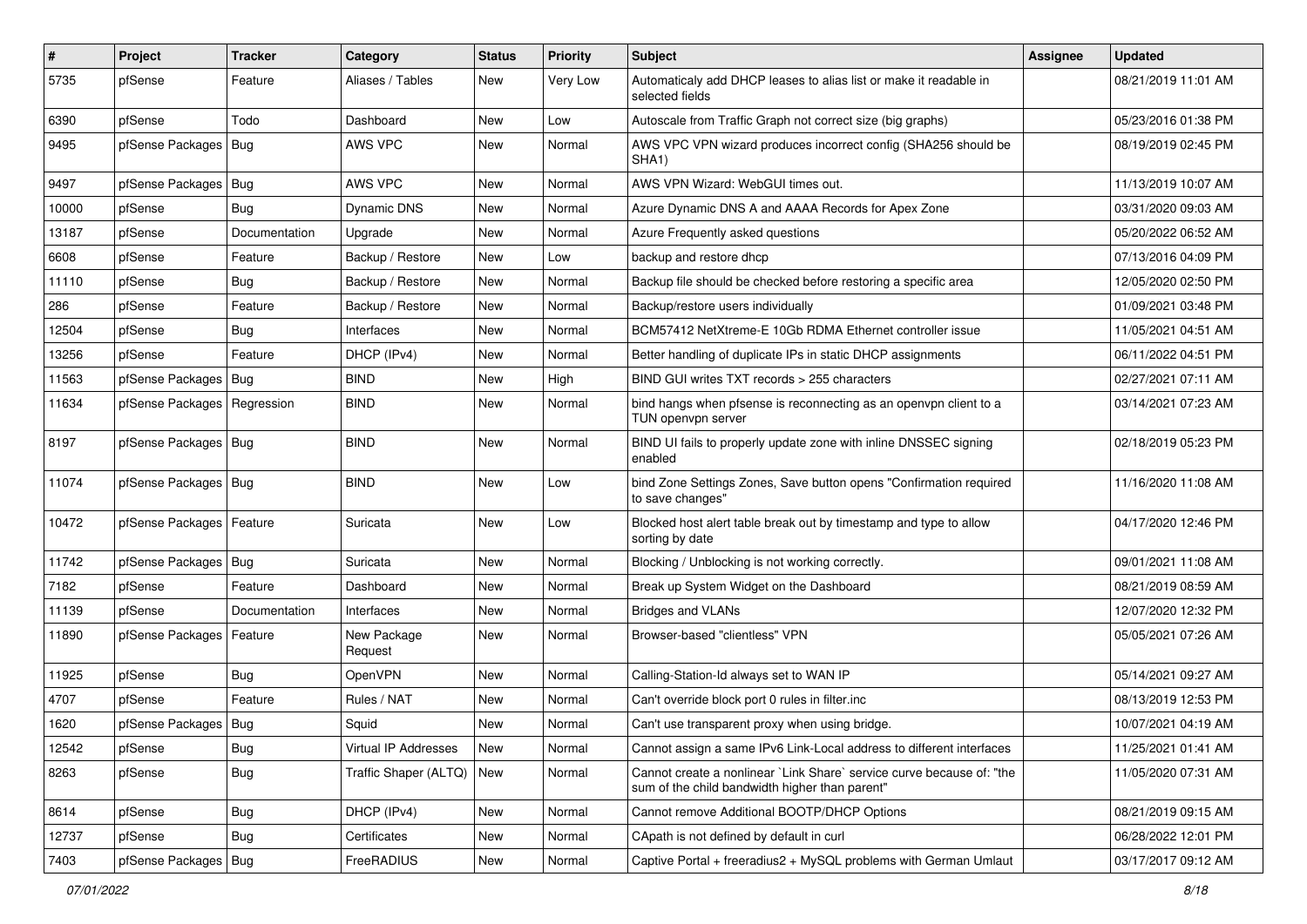| $\vert$ # | Project                       | <b>Tracker</b> | Category               | <b>Status</b> | <b>Priority</b> | Subject                                                                                                                 | <b>Assignee</b> | <b>Updated</b>      |
|-----------|-------------------------------|----------------|------------------------|---------------|-----------------|-------------------------------------------------------------------------------------------------------------------------|-----------------|---------------------|
| 5735      | pfSense                       | Feature        | Aliases / Tables       | New           | Very Low        | Automaticaly add DHCP leases to alias list or make it readable in<br>selected fields                                    |                 | 08/21/2019 11:01 AM |
| 6390      | pfSense                       | Todo           | Dashboard              | New           | Low             | Autoscale from Traffic Graph not correct size (big graphs)                                                              |                 | 05/23/2016 01:38 PM |
| 9495      | pfSense Packages              | Bug            | AWS VPC                | New           | Normal          | AWS VPC VPN wizard produces incorrect config (SHA256 should be<br>SHA <sub>1</sub> )                                    |                 | 08/19/2019 02:45 PM |
| 9497      | pfSense Packages              | Bug            | AWS VPC                | New           | Normal          | AWS VPN Wizard: WebGUI times out.                                                                                       |                 | 11/13/2019 10:07 AM |
| 10000     | pfSense                       | <b>Bug</b>     | Dynamic DNS            | New           | Normal          | Azure Dynamic DNS A and AAAA Records for Apex Zone                                                                      |                 | 03/31/2020 09:03 AM |
| 13187     | pfSense                       | Documentation  | Upgrade                | <b>New</b>    | Normal          | Azure Frequently asked questions                                                                                        |                 | 05/20/2022 06:52 AM |
| 6608      | pfSense                       | Feature        | Backup / Restore       | New           | Low             | backup and restore dhcp                                                                                                 |                 | 07/13/2016 04:09 PM |
| 11110     | pfSense                       | <b>Bug</b>     | Backup / Restore       | <b>New</b>    | Normal          | Backup file should be checked before restoring a specific area                                                          |                 | 12/05/2020 02:50 PM |
| 286       | pfSense                       | Feature        | Backup / Restore       | New           | Normal          | Backup/restore users individually                                                                                       |                 | 01/09/2021 03:48 PM |
| 12504     | pfSense                       | <b>Bug</b>     | Interfaces             | <b>New</b>    | Normal          | BCM57412 NetXtreme-E 10Gb RDMA Ethernet controller issue                                                                |                 | 11/05/2021 04:51 AM |
| 13256     | pfSense                       | Feature        | DHCP (IPv4)            | <b>New</b>    | Normal          | Better handling of duplicate IPs in static DHCP assignments                                                             |                 | 06/11/2022 04:51 PM |
| 11563     | pfSense Packages              | <b>Bug</b>     | <b>BIND</b>            | New           | High            | BIND GUI writes TXT records > 255 characters                                                                            |                 | 02/27/2021 07:11 AM |
| 11634     | pfSense Packages   Regression |                | <b>BIND</b>            | New           | Normal          | bind hangs when pfsense is reconnecting as an openvpn client to a<br>TUN openvpn server                                 |                 | 03/14/2021 07:23 AM |
| 8197      | pfSense Packages   Bug        |                | <b>BIND</b>            | <b>New</b>    | Normal          | BIND UI fails to properly update zone with inline DNSSEC signing<br>enabled                                             |                 | 02/18/2019 05:23 PM |
| 11074     | pfSense Packages   Bug        |                | <b>BIND</b>            | New           | Low             | bind Zone Settings Zones, Save button opens "Confirmation required<br>to save changes"                                  |                 | 11/16/2020 11:08 AM |
| 10472     | pfSense Packages              | Feature        | Suricata               | <b>New</b>    | Low             | Blocked host alert table break out by timestamp and type to allow<br>sorting by date                                    |                 | 04/17/2020 12:46 PM |
| 11742     | pfSense Packages              | Bug            | Suricata               | New           | Normal          | Blocking / Unblocking is not working correctly.                                                                         |                 | 09/01/2021 11:08 AM |
| 7182      | pfSense                       | Feature        | Dashboard              | <b>New</b>    | Normal          | Break up System Widget on the Dashboard                                                                                 |                 | 08/21/2019 08:59 AM |
| 11139     | pfSense                       | Documentation  | Interfaces             | New           | Normal          | Bridges and VLANs                                                                                                       |                 | 12/07/2020 12:32 PM |
| 11890     | pfSense Packages              | Feature        | New Package<br>Request | New           | Normal          | Browser-based "clientless" VPN                                                                                          |                 | 05/05/2021 07:26 AM |
| 11925     | pfSense                       | Bug            | <b>OpenVPN</b>         | New           | Normal          | Calling-Station-Id always set to WAN IP                                                                                 |                 | 05/14/2021 09:27 AM |
| 4707      | pfSense                       | Feature        | Rules / NAT            | New           | Normal          | Can't override block port 0 rules in filter.inc                                                                         |                 | 08/13/2019 12:53 PM |
| 1620      | pfSense Packages              | Bug            | Squid                  | New           | Normal          | Can't use transparent proxy when using bridge.                                                                          |                 | 10/07/2021 04:19 AM |
| 12542     | pfSense                       | Bug            | Virtual IP Addresses   | New           | Normal          | Cannot assign a same IPv6 Link-Local address to different interfaces                                                    |                 | 11/25/2021 01:41 AM |
| 8263      | pfSense                       | Bug            | Traffic Shaper (ALTQ)  | New           | Normal          | Cannot create a nonlinear `Link Share` service curve because of: "the<br>sum of the child bandwidth higher than parent" |                 | 11/05/2020 07:31 AM |
| 8614      | pfSense                       | Bug            | DHCP (IPv4)            | New           | Normal          | Cannot remove Additional BOOTP/DHCP Options                                                                             |                 | 08/21/2019 09:15 AM |
| 12737     | pfSense                       | Bug            | Certificates           | New           | Normal          | CApath is not defined by default in curl                                                                                |                 | 06/28/2022 12:01 PM |
| 7403      | pfSense Packages              | Bug            | FreeRADIUS             | New           | Normal          | Captive Portal + freeradius2 + MySQL problems with German Umlaut                                                        |                 | 03/17/2017 09:12 AM |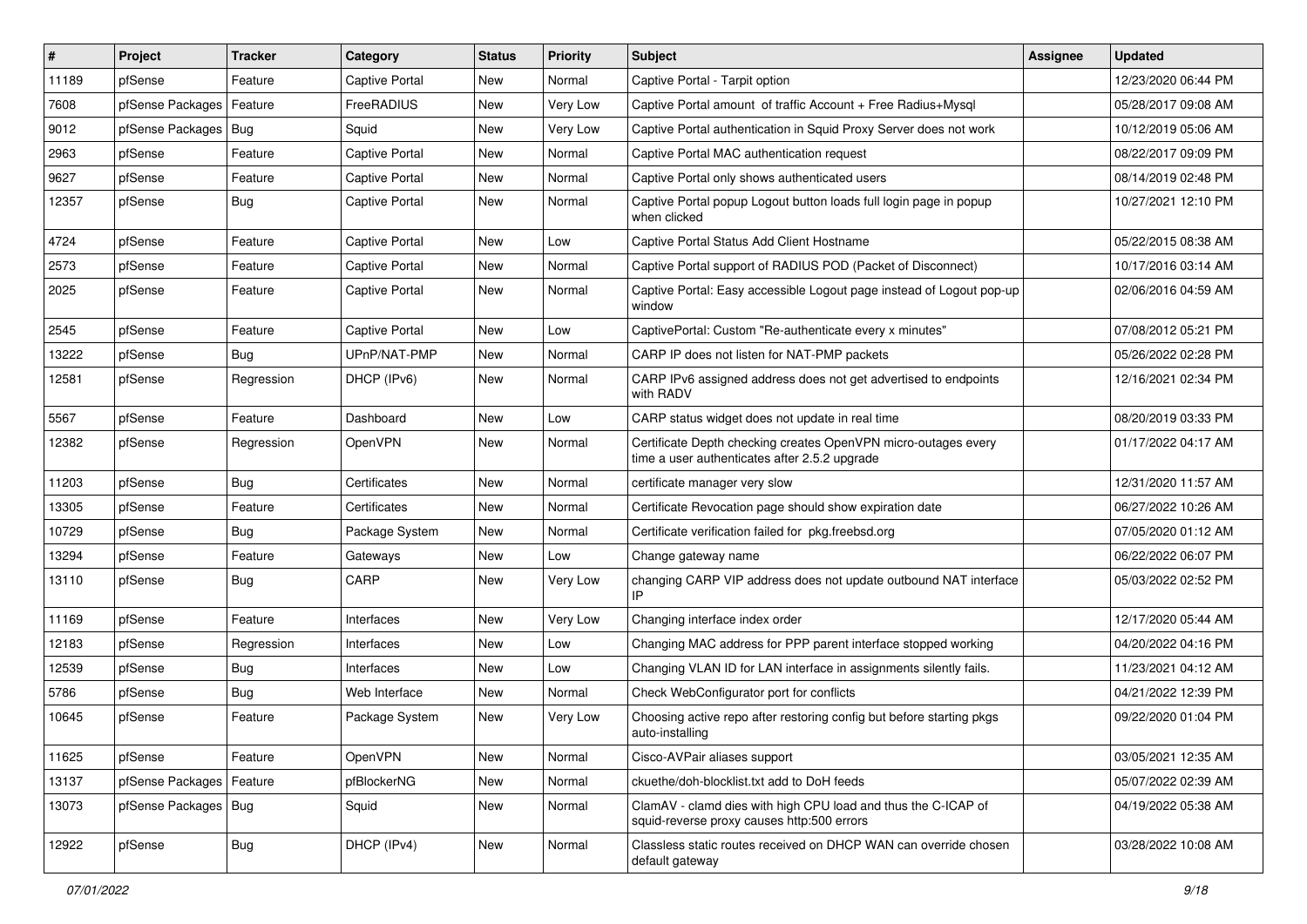| $\vert$ # | Project                | <b>Tracker</b> | Category              | <b>Status</b> | <b>Priority</b> | Subject                                                                                                         | <b>Assignee</b> | <b>Updated</b>      |
|-----------|------------------------|----------------|-----------------------|---------------|-----------------|-----------------------------------------------------------------------------------------------------------------|-----------------|---------------------|
| 11189     | pfSense                | Feature        | Captive Portal        | New           | Normal          | Captive Portal - Tarpit option                                                                                  |                 | 12/23/2020 06:44 PM |
| 7608      | pfSense Packages       | Feature        | FreeRADIUS            | New           | Very Low        | Captive Portal amount of traffic Account + Free Radius+Mysql                                                    |                 | 05/28/2017 09:08 AM |
| 9012      | pfSense Packages       | <b>Bug</b>     | Squid                 | New           | Very Low        | Captive Portal authentication in Squid Proxy Server does not work                                               |                 | 10/12/2019 05:06 AM |
| 2963      | pfSense                | Feature        | Captive Portal        | <b>New</b>    | Normal          | Captive Portal MAC authentication request                                                                       |                 | 08/22/2017 09:09 PM |
| 9627      | pfSense                | Feature        | Captive Portal        | New           | Normal          | Captive Portal only shows authenticated users                                                                   |                 | 08/14/2019 02:48 PM |
| 12357     | pfSense                | Bug            | <b>Captive Portal</b> | New           | Normal          | Captive Portal popup Logout button loads full login page in popup<br>when clicked                               |                 | 10/27/2021 12:10 PM |
| 4724      | pfSense                | Feature        | Captive Portal        | New           | Low             | Captive Portal Status Add Client Hostname                                                                       |                 | 05/22/2015 08:38 AM |
| 2573      | pfSense                | Feature        | Captive Portal        | New           | Normal          | Captive Portal support of RADIUS POD (Packet of Disconnect)                                                     |                 | 10/17/2016 03:14 AM |
| 2025      | pfSense                | Feature        | Captive Portal        | New           | Normal          | Captive Portal: Easy accessible Logout page instead of Logout pop-up<br>window                                  |                 | 02/06/2016 04:59 AM |
| 2545      | pfSense                | Feature        | Captive Portal        | New           | Low             | CaptivePortal: Custom "Re-authenticate every x minutes"                                                         |                 | 07/08/2012 05:21 PM |
| 13222     | pfSense                | Bug            | UPnP/NAT-PMP          | New           | Normal          | CARP IP does not listen for NAT-PMP packets                                                                     |                 | 05/26/2022 02:28 PM |
| 12581     | pfSense                | Regression     | DHCP (IPv6)           | New           | Normal          | CARP IPv6 assigned address does not get advertised to endpoints<br>with RADV                                    |                 | 12/16/2021 02:34 PM |
| 5567      | pfSense                | Feature        | Dashboard             | <b>New</b>    | Low             | CARP status widget does not update in real time                                                                 |                 | 08/20/2019 03:33 PM |
| 12382     | pfSense                | Regression     | OpenVPN               | New           | Normal          | Certificate Depth checking creates OpenVPN micro-outages every<br>time a user authenticates after 2.5.2 upgrade |                 | 01/17/2022 04:17 AM |
| 11203     | pfSense                | Bug            | Certificates          | New           | Normal          | certificate manager very slow                                                                                   |                 | 12/31/2020 11:57 AM |
| 13305     | pfSense                | Feature        | Certificates          | <b>New</b>    | Normal          | Certificate Revocation page should show expiration date                                                         |                 | 06/27/2022 10:26 AM |
| 10729     | pfSense                | <b>Bug</b>     | Package System        | New           | Normal          | Certificate verification failed for pkg.freebsd.org                                                             |                 | 07/05/2020 01:12 AM |
| 13294     | pfSense                | Feature        | Gateways              | New           | Low             | Change gateway name                                                                                             |                 | 06/22/2022 06:07 PM |
| 13110     | pfSense                | Bug            | CARP                  | New           | Very Low        | changing CARP VIP address does not update outbound NAT interface<br>IP                                          |                 | 05/03/2022 02:52 PM |
| 11169     | pfSense                | Feature        | Interfaces            | New           | Very Low        | Changing interface index order                                                                                  |                 | 12/17/2020 05:44 AM |
| 12183     | pfSense                | Regression     | Interfaces            | <b>New</b>    | Low             | Changing MAC address for PPP parent interface stopped working                                                   |                 | 04/20/2022 04:16 PM |
| 12539     | pfSense                | Bug            | Interfaces            | New           | Low             | Changing VLAN ID for LAN interface in assignments silently fails.                                               |                 | 11/23/2021 04:12 AM |
| 5786      | pfSense                | <b>Bug</b>     | Web Interface         | New           | Normal          | Check WebConfigurator port for conflicts                                                                        |                 | 04/21/2022 12:39 PM |
| 10645     | pfSense                | Feature        | Package System        | <b>New</b>    | Very Low        | Choosing active repo after restoring config but before starting pkgs<br>auto-installing                         |                 | 09/22/2020 01:04 PM |
| 11625     | pfSense                | Feature        | <b>OpenVPN</b>        | New           | Normal          | Cisco-AVPair aliases support                                                                                    |                 | 03/05/2021 12:35 AM |
| 13137     | pfSense Packages       | Feature        | pfBlockerNG           | <b>New</b>    | Normal          | ckuethe/doh-blocklist.txt add to DoH feeds                                                                      |                 | 05/07/2022 02:39 AM |
| 13073     | pfSense Packages   Bug |                | Squid                 | New           | Normal          | ClamAV - clamd dies with high CPU load and thus the C-ICAP of<br>squid-reverse proxy causes http:500 errors     |                 | 04/19/2022 05:38 AM |
| 12922     | pfSense                | <b>Bug</b>     | DHCP (IPv4)           | New           | Normal          | Classless static routes received on DHCP WAN can override chosen<br>default gateway                             |                 | 03/28/2022 10:08 AM |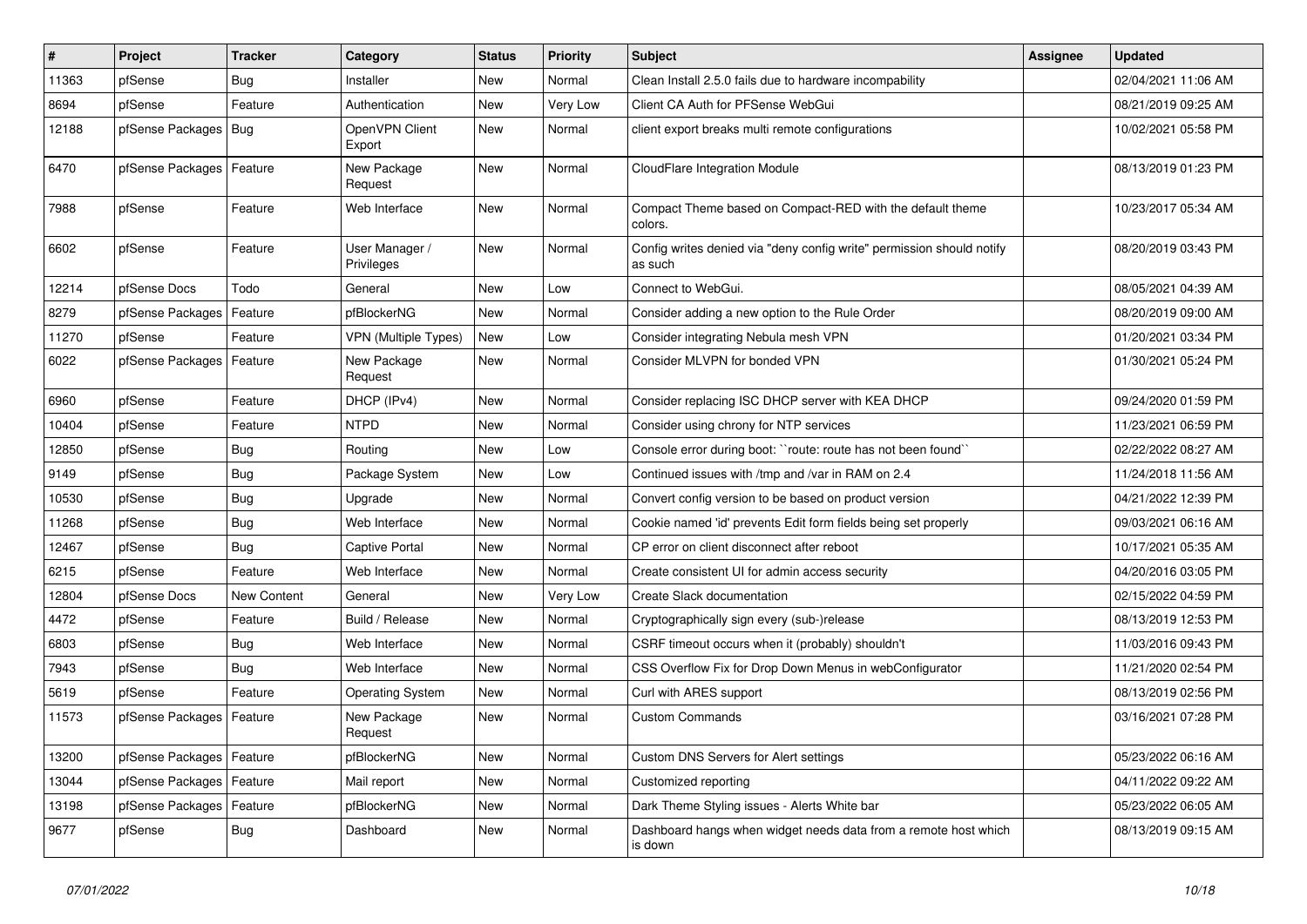| $\vert$ # | Project                    | <b>Tracker</b> | Category                     | <b>Status</b> | <b>Priority</b> | Subject                                                                          | Assignee | <b>Updated</b>      |
|-----------|----------------------------|----------------|------------------------------|---------------|-----------------|----------------------------------------------------------------------------------|----------|---------------------|
| 11363     | pfSense                    | Bug            | Installer                    | New           | Normal          | Clean Install 2.5.0 fails due to hardware incompability                          |          | 02/04/2021 11:06 AM |
| 8694      | pfSense                    | Feature        | Authentication               | New           | Very Low        | Client CA Auth for PFSense WebGui                                                |          | 08/21/2019 09:25 AM |
| 12188     | pfSense Packages   Bug     |                | OpenVPN Client<br>Export     | <b>New</b>    | Normal          | client export breaks multi remote configurations                                 |          | 10/02/2021 05:58 PM |
| 6470      | pfSense Packages   Feature |                | New Package<br>Request       | New           | Normal          | CloudFlare Integration Module                                                    |          | 08/13/2019 01:23 PM |
| 7988      | pfSense                    | Feature        | Web Interface                | New           | Normal          | Compact Theme based on Compact-RED with the default theme<br>colors.             |          | 10/23/2017 05:34 AM |
| 6602      | pfSense                    | Feature        | User Manager /<br>Privileges | <b>New</b>    | Normal          | Config writes denied via "deny config write" permission should notify<br>as such |          | 08/20/2019 03:43 PM |
| 12214     | pfSense Docs               | Todo           | General                      | <b>New</b>    | Low             | Connect to WebGui.                                                               |          | 08/05/2021 04:39 AM |
| 8279      | pfSense Packages           | Feature        | pfBlockerNG                  | New           | Normal          | Consider adding a new option to the Rule Order                                   |          | 08/20/2019 09:00 AM |
| 11270     | pfSense                    | Feature        | <b>VPN (Multiple Types)</b>  | <b>New</b>    | Low             | Consider integrating Nebula mesh VPN                                             |          | 01/20/2021 03:34 PM |
| 6022      | pfSense Packages   Feature |                | New Package<br>Request       | New           | Normal          | Consider MLVPN for bonded VPN                                                    |          | 01/30/2021 05:24 PM |
| 6960      | pfSense                    | Feature        | DHCP (IPv4)                  | New           | Normal          | Consider replacing ISC DHCP server with KEA DHCP                                 |          | 09/24/2020 01:59 PM |
| 10404     | pfSense                    | Feature        | <b>NTPD</b>                  | New           | Normal          | Consider using chrony for NTP services                                           |          | 11/23/2021 06:59 PM |
| 12850     | pfSense                    | Bug            | Routing                      | New           | Low             | Console error during boot: "route: route has not been found"                     |          | 02/22/2022 08:27 AM |
| 9149      | pfSense                    | Bug            | Package System               | <b>New</b>    | Low             | Continued issues with /tmp and /var in RAM on 2.4                                |          | 11/24/2018 11:56 AM |
| 10530     | pfSense                    | Bug            | Upgrade                      | New           | Normal          | Convert config version to be based on product version                            |          | 04/21/2022 12:39 PM |
| 11268     | pfSense                    | <b>Bug</b>     | Web Interface                | <b>New</b>    | Normal          | Cookie named 'id' prevents Edit form fields being set properly                   |          | 09/03/2021 06:16 AM |
| 12467     | pfSense                    | <b>Bug</b>     | Captive Portal               | New           | Normal          | CP error on client disconnect after reboot                                       |          | 10/17/2021 05:35 AM |
| 6215      | pfSense                    | Feature        | Web Interface                | New           | Normal          | Create consistent UI for admin access security                                   |          | 04/20/2016 03:05 PM |
| 12804     | pfSense Docs               | New Content    | General                      | <b>New</b>    | Very Low        | Create Slack documentation                                                       |          | 02/15/2022 04:59 PM |
| 4472      | pfSense                    | Feature        | Build / Release              | New           | Normal          | Cryptographically sign every (sub-)release                                       |          | 08/13/2019 12:53 PM |
| 6803      | pfSense                    | Bug            | Web Interface                | <b>New</b>    | Normal          | CSRF timeout occurs when it (probably) shouldn't                                 |          | 11/03/2016 09:43 PM |
| 7943      | pfSense                    | Bug            | Web Interface                | New           | Normal          | CSS Overflow Fix for Drop Down Menus in webConfigurator                          |          | 11/21/2020 02:54 PM |
| 5619      | pfSense                    | Feature        | <b>Operating System</b>      | New           | Normal          | Curl with ARES support                                                           |          | 08/13/2019 02:56 PM |
| 11573     | pfSense Packages   Feature |                | New Package<br>Request       | New           | Normal          | <b>Custom Commands</b>                                                           |          | 03/16/2021 07:28 PM |
| 13200     | pfSense Packages   Feature |                | pfBlockerNG                  | New           | Normal          | Custom DNS Servers for Alert settings                                            |          | 05/23/2022 06:16 AM |
| 13044     | pfSense Packages   Feature |                | Mail report                  | New           | Normal          | Customized reporting                                                             |          | 04/11/2022 09:22 AM |
| 13198     | pfSense Packages   Feature |                | pfBlockerNG                  | New           | Normal          | Dark Theme Styling issues - Alerts White bar                                     |          | 05/23/2022 06:05 AM |
| 9677      | pfSense                    | <b>Bug</b>     | Dashboard                    | New           | Normal          | Dashboard hangs when widget needs data from a remote host which<br>is down       |          | 08/13/2019 09:15 AM |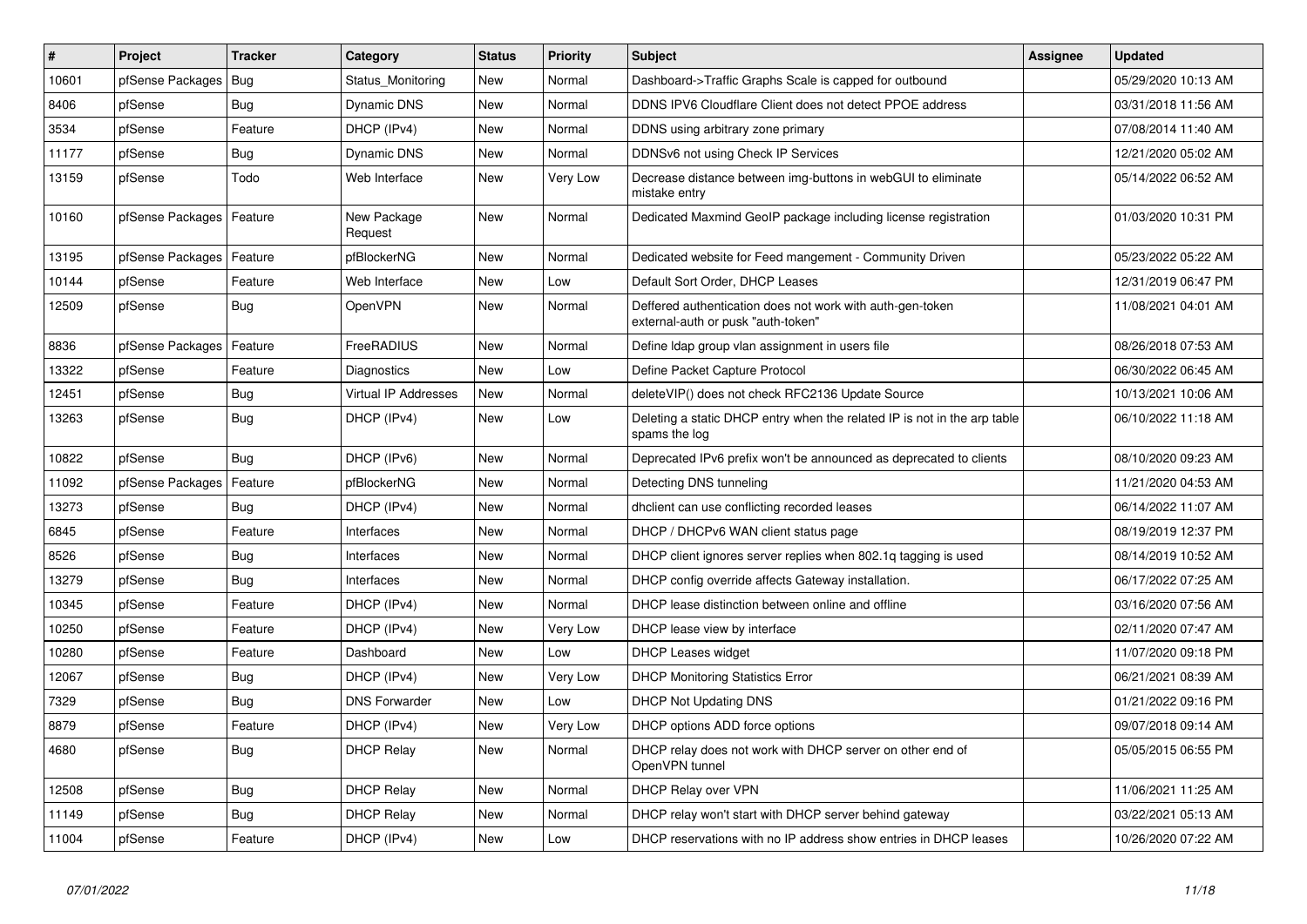| $\sharp$ | Project          | <b>Tracker</b> | Category               | <b>Status</b> | <b>Priority</b> | <b>Subject</b>                                                                                  | <b>Assignee</b> | <b>Updated</b>      |
|----------|------------------|----------------|------------------------|---------------|-----------------|-------------------------------------------------------------------------------------------------|-----------------|---------------------|
| 10601    | pfSense Packages | Bug            | Status Monitoring      | <b>New</b>    | Normal          | Dashboard->Traffic Graphs Scale is capped for outbound                                          |                 | 05/29/2020 10:13 AM |
| 8406     | pfSense          | Bug            | Dynamic DNS            | New           | Normal          | DDNS IPV6 Cloudflare Client does not detect PPOE address                                        |                 | 03/31/2018 11:56 AM |
| 3534     | pfSense          | Feature        | DHCP (IPv4)            | New           | Normal          | DDNS using arbitrary zone primary                                                               |                 | 07/08/2014 11:40 AM |
| 11177    | pfSense          | Bug            | Dynamic DNS            | <b>New</b>    | Normal          | DDNSv6 not using Check IP Services                                                              |                 | 12/21/2020 05:02 AM |
| 13159    | pfSense          | Todo           | Web Interface          | <b>New</b>    | Very Low        | Decrease distance between img-buttons in webGUI to eliminate<br>mistake entry                   |                 | 05/14/2022 06:52 AM |
| 10160    | pfSense Packages | Feature        | New Package<br>Request | <b>New</b>    | Normal          | Dedicated Maxmind GeoIP package including license registration                                  |                 | 01/03/2020 10:31 PM |
| 13195    | pfSense Packages | Feature        | pfBlockerNG            | New           | Normal          | Dedicated website for Feed mangement - Community Driven                                         |                 | 05/23/2022 05:22 AM |
| 10144    | pfSense          | Feature        | Web Interface          | New           | Low             | Default Sort Order, DHCP Leases                                                                 |                 | 12/31/2019 06:47 PM |
| 12509    | pfSense          | Bug            | <b>OpenVPN</b>         | <b>New</b>    | Normal          | Deffered authentication does not work with auth-gen-token<br>external-auth or pusk "auth-token" |                 | 11/08/2021 04:01 AM |
| 8836     | pfSense Packages | Feature        | FreeRADIUS             | New           | Normal          | Define Idap group vlan assignment in users file                                                 |                 | 08/26/2018 07:53 AM |
| 13322    | pfSense          | Feature        | Diagnostics            | New           | Low             | Define Packet Capture Protocol                                                                  |                 | 06/30/2022 06:45 AM |
| 12451    | pfSense          | <b>Bug</b>     | Virtual IP Addresses   | New           | Normal          | deleteVIP() does not check RFC2136 Update Source                                                |                 | 10/13/2021 10:06 AM |
| 13263    | pfSense          | Bug            | DHCP (IPv4)            | New           | Low             | Deleting a static DHCP entry when the related IP is not in the arp table<br>spams the log       |                 | 06/10/2022 11:18 AM |
| 10822    | pfSense          | Bug            | DHCP (IPv6)            | New           | Normal          | Deprecated IPv6 prefix won't be announced as deprecated to clients                              |                 | 08/10/2020 09:23 AM |
| 11092    | pfSense Packages | Feature        | pfBlockerNG            | New           | Normal          | Detecting DNS tunneling                                                                         |                 | 11/21/2020 04:53 AM |
| 13273    | pfSense          | Bug            | DHCP (IPv4)            | New           | Normal          | dholient can use conflicting recorded leases                                                    |                 | 06/14/2022 11:07 AM |
| 6845     | pfSense          | Feature        | Interfaces             | New           | Normal          | DHCP / DHCPv6 WAN client status page                                                            |                 | 08/19/2019 12:37 PM |
| 8526     | pfSense          | Bug            | Interfaces             | New           | Normal          | DHCP client ignores server replies when 802.1q tagging is used                                  |                 | 08/14/2019 10:52 AM |
| 13279    | pfSense          | Bug            | Interfaces             | New           | Normal          | DHCP config override affects Gateway installation.                                              |                 | 06/17/2022 07:25 AM |
| 10345    | pfSense          | Feature        | DHCP (IPv4)            | New           | Normal          | DHCP lease distinction between online and offline                                               |                 | 03/16/2020 07:56 AM |
| 10250    | pfSense          | Feature        | DHCP (IPv4)            | New           | Very Low        | DHCP lease view by interface                                                                    |                 | 02/11/2020 07:47 AM |
| 10280    | pfSense          | Feature        | Dashboard              | New           | Low             | <b>DHCP Leases widget</b>                                                                       |                 | 11/07/2020 09:18 PM |
| 12067    | pfSense          | Bug            | DHCP (IPv4)            | New           | Very Low        | <b>DHCP Monitoring Statistics Error</b>                                                         |                 | 06/21/2021 08:39 AM |
| 7329     | pfSense          | Bug            | <b>DNS Forwarder</b>   | New           | Low             | <b>DHCP Not Updating DNS</b>                                                                    |                 | 01/21/2022 09:16 PM |
| 8879     | pfSense          | Feature        | DHCP (IPv4)            | New           | Very Low        | DHCP options ADD force options                                                                  |                 | 09/07/2018 09:14 AM |
| 4680     | pfSense          | Bug            | <b>DHCP Relay</b>      | New           | Normal          | DHCP relay does not work with DHCP server on other end of<br>OpenVPN tunnel                     |                 | 05/05/2015 06:55 PM |
| 12508    | pfSense          | Bug            | <b>DHCP Relay</b>      | New           | Normal          | DHCP Relay over VPN                                                                             |                 | 11/06/2021 11:25 AM |
| 11149    | pfSense          | <b>Bug</b>     | <b>DHCP Relay</b>      | New           | Normal          | DHCP relay won't start with DHCP server behind gateway                                          |                 | 03/22/2021 05:13 AM |
| 11004    | pfSense          | Feature        | DHCP (IPv4)            | New           | Low             | DHCP reservations with no IP address show entries in DHCP leases                                |                 | 10/26/2020 07:22 AM |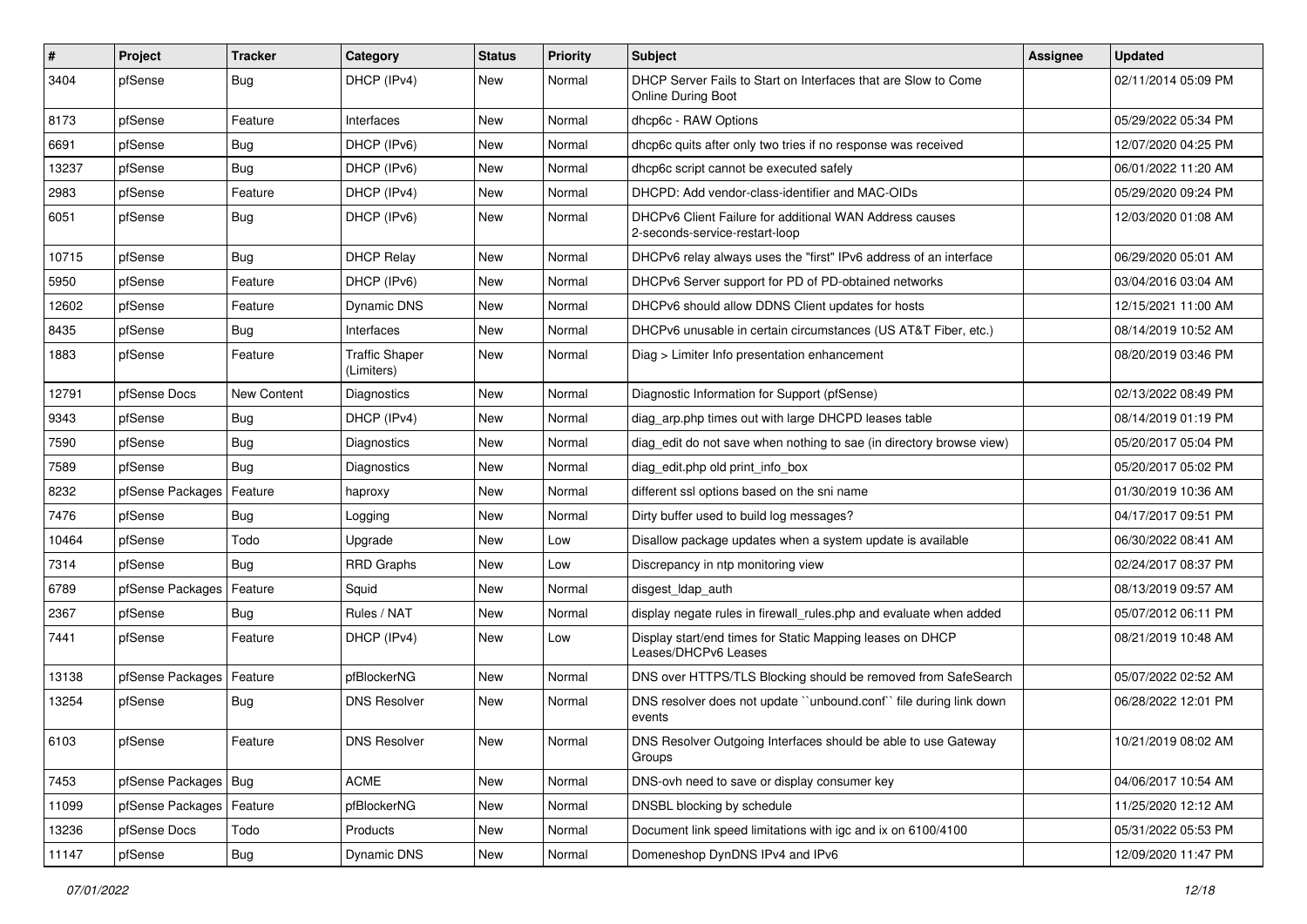| $\pmb{\#}$ | Project                | <b>Tracker</b> | Category                            | <b>Status</b> | <b>Priority</b> | <b>Subject</b>                                                                              | Assignee | <b>Updated</b>      |
|------------|------------------------|----------------|-------------------------------------|---------------|-----------------|---------------------------------------------------------------------------------------------|----------|---------------------|
| 3404       | pfSense                | <b>Bug</b>     | DHCP (IPv4)                         | New           | Normal          | DHCP Server Fails to Start on Interfaces that are Slow to Come<br><b>Online During Boot</b> |          | 02/11/2014 05:09 PM |
| 8173       | pfSense                | Feature        | Interfaces                          | New           | Normal          | dhcp6c - RAW Options                                                                        |          | 05/29/2022 05:34 PM |
| 6691       | pfSense                | Bug            | DHCP (IPv6)                         | New           | Normal          | dhcp6c quits after only two tries if no response was received                               |          | 12/07/2020 04:25 PM |
| 13237      | pfSense                | Bug            | DHCP (IPv6)                         | New           | Normal          | dhcp6c script cannot be executed safely                                                     |          | 06/01/2022 11:20 AM |
| 2983       | pfSense                | Feature        | DHCP (IPv4)                         | New           | Normal          | DHCPD: Add vendor-class-identifier and MAC-OIDs                                             |          | 05/29/2020 09:24 PM |
| 6051       | pfSense                | <b>Bug</b>     | DHCP (IPv6)                         | New           | Normal          | DHCPv6 Client Failure for additional WAN Address causes<br>2-seconds-service-restart-loop   |          | 12/03/2020 01:08 AM |
| 10715      | pfSense                | Bug            | <b>DHCP Relay</b>                   | New           | Normal          | DHCPv6 relay always uses the "first" IPv6 address of an interface                           |          | 06/29/2020 05:01 AM |
| 5950       | pfSense                | Feature        | DHCP (IPv6)                         | New           | Normal          | DHCPv6 Server support for PD of PD-obtained networks                                        |          | 03/04/2016 03:04 AM |
| 12602      | pfSense                | Feature        | <b>Dynamic DNS</b>                  | New           | Normal          | DHCPv6 should allow DDNS Client updates for hosts                                           |          | 12/15/2021 11:00 AM |
| 8435       | pfSense                | Bug            | Interfaces                          | New           | Normal          | DHCPv6 unusable in certain circumstances (US AT&T Fiber, etc.)                              |          | 08/14/2019 10:52 AM |
| 1883       | pfSense                | Feature        | <b>Traffic Shaper</b><br>(Limiters) | New           | Normal          | Diag > Limiter Info presentation enhancement                                                |          | 08/20/2019 03:46 PM |
| 12791      | pfSense Docs           | New Content    | Diagnostics                         | New           | Normal          | Diagnostic Information for Support (pfSense)                                                |          | 02/13/2022 08:49 PM |
| 9343       | pfSense                | Bug            | DHCP (IPv4)                         | New           | Normal          | diag arp.php times out with large DHCPD leases table                                        |          | 08/14/2019 01:19 PM |
| 7590       | pfSense                | Bug            | <b>Diagnostics</b>                  | New           | Normal          | diag edit do not save when nothing to sae (in directory browse view)                        |          | 05/20/2017 05:04 PM |
| 7589       | pfSense                | Bug            | Diagnostics                         | New           | Normal          | diag edit.php old print info box                                                            |          | 05/20/2017 05:02 PM |
| 8232       | pfSense Packages       | Feature        | haproxy                             | New           | Normal          | different ssl options based on the sni name                                                 |          | 01/30/2019 10:36 AM |
| 7476       | pfSense                | Bug            | Logging                             | New           | Normal          | Dirty buffer used to build log messages?                                                    |          | 04/17/2017 09:51 PM |
| 10464      | pfSense                | Todo           | Upgrade                             | New           | Low             | Disallow package updates when a system update is available                                  |          | 06/30/2022 08:41 AM |
| 7314       | pfSense                | Bug            | <b>RRD Graphs</b>                   | New           | Low             | Discrepancy in ntp monitoring view                                                          |          | 02/24/2017 08:37 PM |
| 6789       | pfSense Packages       | Feature        | Squid                               | New           | Normal          | disgest_ldap_auth                                                                           |          | 08/13/2019 09:57 AM |
| 2367       | pfSense                | Bug            | Rules / NAT                         | New           | Normal          | display negate rules in firewall_rules.php and evaluate when added                          |          | 05/07/2012 06:11 PM |
| 7441       | pfSense                | Feature        | DHCP (IPv4)                         | New           | Low             | Display start/end times for Static Mapping leases on DHCP<br>Leases/DHCPv6 Leases           |          | 08/21/2019 10:48 AM |
| 13138      | pfSense Packages       | Feature        | pfBlockerNG                         | New           | Normal          | DNS over HTTPS/TLS Blocking should be removed from SafeSearch                               |          | 05/07/2022 02:52 AM |
| 13254      | pfSense                | Bug            | <b>DNS Resolver</b>                 | New           | Normal          | DNS resolver does not update "unbound.conf" file during link down<br>events                 |          | 06/28/2022 12:01 PM |
| 6103       | pfSense                | Feature        | <b>DNS Resolver</b>                 | New           | Normal          | DNS Resolver Outgoing Interfaces should be able to use Gateway<br>Groups                    |          | 10/21/2019 08:02 AM |
| 7453       | pfSense Packages   Bug |                | <b>ACME</b>                         | New           | Normal          | DNS-ovh need to save or display consumer key                                                |          | 04/06/2017 10:54 AM |
| 11099      | pfSense Packages       | Feature        | pfBlockerNG                         | New           | Normal          | DNSBL blocking by schedule                                                                  |          | 11/25/2020 12:12 AM |
| 13236      | pfSense Docs           | Todo           | Products                            | New           | Normal          | Document link speed limitations with igc and ix on 6100/4100                                |          | 05/31/2022 05:53 PM |
| 11147      | pfSense                | Bug            | Dynamic DNS                         | New           | Normal          | Domeneshop DynDNS IPv4 and IPv6                                                             |          | 12/09/2020 11:47 PM |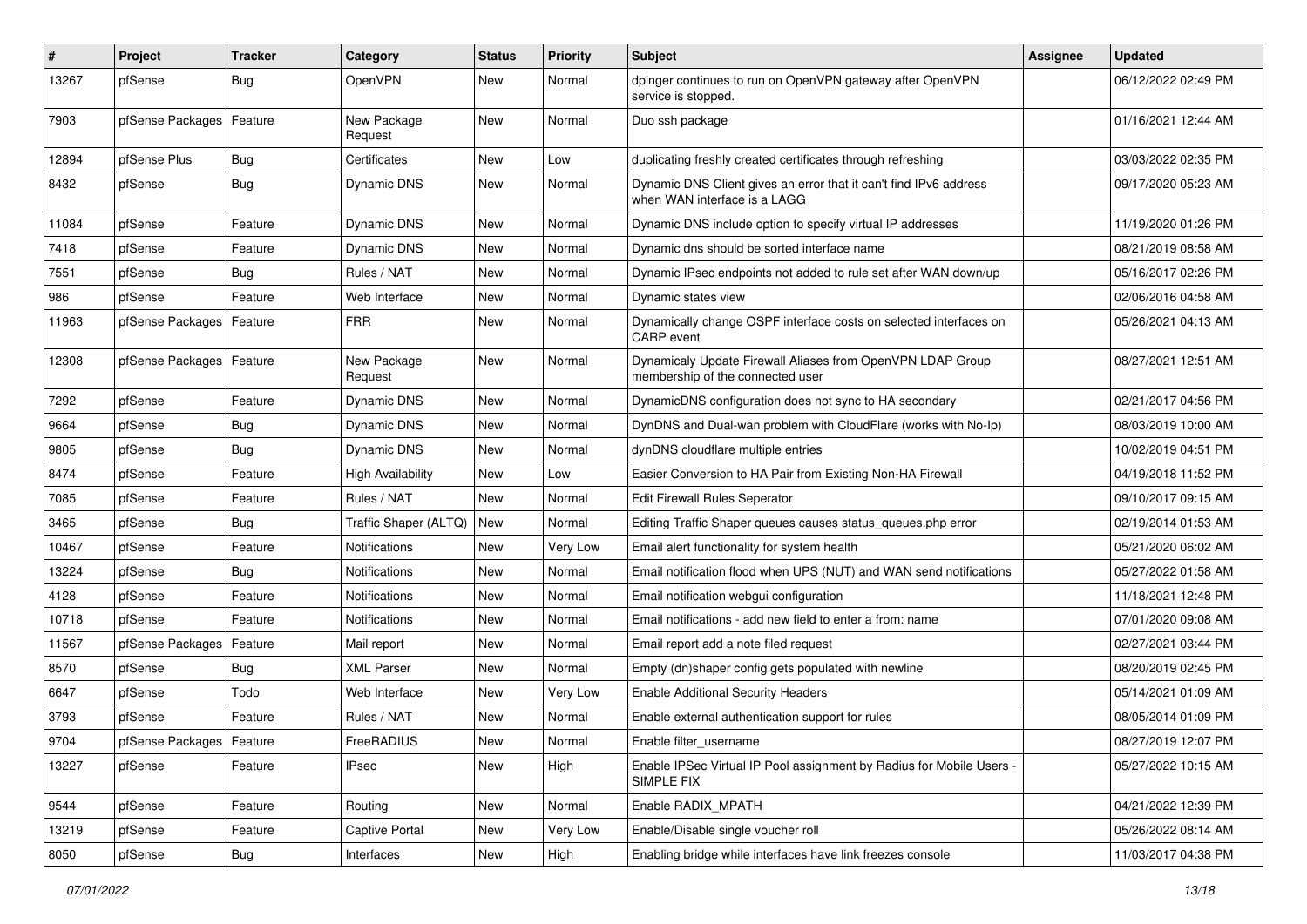| ∦     | Project                    | Tracker    | Category                 | <b>Status</b> | <b>Priority</b> | Subject                                                                                           | Assignee | <b>Updated</b>      |
|-------|----------------------------|------------|--------------------------|---------------|-----------------|---------------------------------------------------------------------------------------------------|----------|---------------------|
| 13267 | pfSense                    | <b>Bug</b> | OpenVPN                  | <b>New</b>    | Normal          | dpinger continues to run on OpenVPN gateway after OpenVPN<br>service is stopped.                  |          | 06/12/2022 02:49 PM |
| 7903  | pfSense Packages           | Feature    | New Package<br>Request   | New           | Normal          | Duo ssh package                                                                                   |          | 01/16/2021 12:44 AM |
| 12894 | pfSense Plus               | Bug        | Certificates             | <b>New</b>    | Low             | duplicating freshly created certificates through refreshing                                       |          | 03/03/2022 02:35 PM |
| 8432  | pfSense                    | <b>Bug</b> | Dynamic DNS              | New           | Normal          | Dynamic DNS Client gives an error that it can't find IPv6 address<br>when WAN interface is a LAGG |          | 09/17/2020 05:23 AM |
| 11084 | pfSense                    | Feature    | Dynamic DNS              | <b>New</b>    | Normal          | Dynamic DNS include option to specify virtual IP addresses                                        |          | 11/19/2020 01:26 PM |
| 7418  | pfSense                    | Feature    | Dynamic DNS              | New           | Normal          | Dynamic dns should be sorted interface name                                                       |          | 08/21/2019 08:58 AM |
| 7551  | pfSense                    | <b>Bug</b> | Rules / NAT              | <b>New</b>    | Normal          | Dynamic IPsec endpoints not added to rule set after WAN down/up                                   |          | 05/16/2017 02:26 PM |
| 986   | pfSense                    | Feature    | Web Interface            | New           | Normal          | Dynamic states view                                                                               |          | 02/06/2016 04:58 AM |
| 11963 | pfSense Packages   Feature |            | <b>FRR</b>               | New           | Normal          | Dynamically change OSPF interface costs on selected interfaces on<br>CARP event                   |          | 05/26/2021 04:13 AM |
| 12308 | pfSense Packages           | Feature    | New Package<br>Request   | <b>New</b>    | Normal          | Dynamicaly Update Firewall Aliases from OpenVPN LDAP Group<br>membership of the connected user    |          | 08/27/2021 12:51 AM |
| 7292  | pfSense                    | Feature    | Dynamic DNS              | <b>New</b>    | Normal          | DynamicDNS configuration does not sync to HA secondary                                            |          | 02/21/2017 04:56 PM |
| 9664  | pfSense                    | Bug        | Dynamic DNS              | New           | Normal          | DynDNS and Dual-wan problem with CloudFlare (works with No-Ip)                                    |          | 08/03/2019 10:00 AM |
| 9805  | pfSense                    | Bug        | Dynamic DNS              | <b>New</b>    | Normal          | dynDNS cloudflare multiple entries                                                                |          | 10/02/2019 04:51 PM |
| 8474  | pfSense                    | Feature    | <b>High Availability</b> | New           | Low             | Easier Conversion to HA Pair from Existing Non-HA Firewall                                        |          | 04/19/2018 11:52 PM |
| 7085  | pfSense                    | Feature    | Rules / NAT              | New           | Normal          | <b>Edit Firewall Rules Seperator</b>                                                              |          | 09/10/2017 09:15 AM |
| 3465  | pfSense                    | Bug        | Traffic Shaper (ALTQ)    | <b>New</b>    | Normal          | Editing Traffic Shaper queues causes status_queues.php error                                      |          | 02/19/2014 01:53 AM |
| 10467 | pfSense                    | Feature    | Notifications            | New           | Very Low        | Email alert functionality for system health                                                       |          | 05/21/2020 06:02 AM |
| 13224 | pfSense                    | Bug        | Notifications            | New           | Normal          | Email notification flood when UPS (NUT) and WAN send notifications                                |          | 05/27/2022 01:58 AM |
| 4128  | pfSense                    | Feature    | Notifications            | New           | Normal          | Email notification webgui configuration                                                           |          | 11/18/2021 12:48 PM |
| 10718 | pfSense                    | Feature    | Notifications            | <b>New</b>    | Normal          | Email notifications - add new field to enter a from: name                                         |          | 07/01/2020 09:08 AM |
| 11567 | pfSense Packages           | Feature    | Mail report              | <b>New</b>    | Normal          | Email report add a note filed request                                                             |          | 02/27/2021 03:44 PM |
| 8570  | pfSense                    | <b>Bug</b> | <b>XML Parser</b>        | <b>New</b>    | Normal          | Empty (dn)shaper config gets populated with newline                                               |          | 08/20/2019 02:45 PM |
| 6647  | pfSense                    | Todo       | Web Interface            | New           | Very Low        | <b>Enable Additional Security Headers</b>                                                         |          | 05/14/2021 01:09 AM |
| 3793  | pfSense                    | Feature    | Rules / NAT              | <b>New</b>    | Normal          | Enable external authentication support for rules                                                  |          | 08/05/2014 01:09 PM |
| 9704  | pfSense Packages   Feature |            | FreeRADIUS               | New           | Normal          | Enable filter_username                                                                            |          | 08/27/2019 12:07 PM |
| 13227 | pfSense                    | Feature    | <b>IPsec</b>             | New           | High            | Enable IPSec Virtual IP Pool assignment by Radius for Mobile Users -<br>SIMPLE FIX                |          | 05/27/2022 10:15 AM |
| 9544  | pfSense                    | Feature    | Routing                  | New           | Normal          | Enable RADIX_MPATH                                                                                |          | 04/21/2022 12:39 PM |
| 13219 | pfSense                    | Feature    | Captive Portal           | <b>New</b>    | Very Low        | Enable/Disable single voucher roll                                                                |          | 05/26/2022 08:14 AM |
| 8050  | pfSense                    | Bug        | Interfaces               | New           | High            | Enabling bridge while interfaces have link freezes console                                        |          | 11/03/2017 04:38 PM |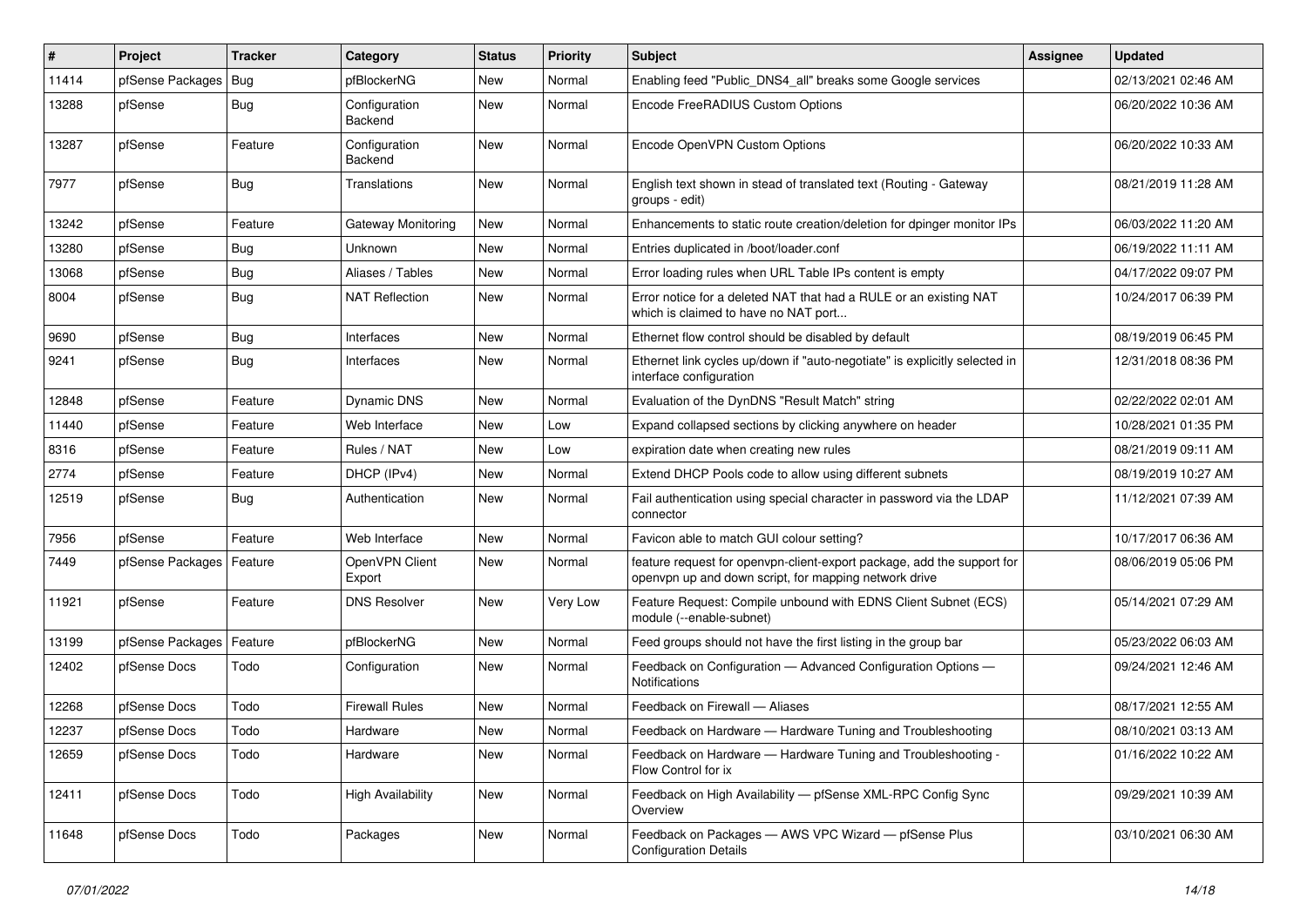| $\vert$ # | Project                    | <b>Tracker</b> | Category                 | <b>Status</b> | <b>Priority</b> | <b>Subject</b>                                                                                                                  | <b>Assignee</b> | <b>Updated</b>      |
|-----------|----------------------------|----------------|--------------------------|---------------|-----------------|---------------------------------------------------------------------------------------------------------------------------------|-----------------|---------------------|
| 11414     | pfSense Packages           | Bug            | pfBlockerNG              | New           | Normal          | Enabling feed "Public DNS4 all" breaks some Google services                                                                     |                 | 02/13/2021 02:46 AM |
| 13288     | pfSense                    | Bug            | Configuration<br>Backend | New           | Normal          | Encode FreeRADIUS Custom Options                                                                                                |                 | 06/20/2022 10:36 AM |
| 13287     | pfSense                    | Feature        | Configuration<br>Backend | New           | Normal          | Encode OpenVPN Custom Options                                                                                                   |                 | 06/20/2022 10:33 AM |
| 7977      | pfSense                    | Bug            | Translations             | New           | Normal          | English text shown in stead of translated text (Routing - Gateway<br>groups - edit)                                             |                 | 08/21/2019 11:28 AM |
| 13242     | pfSense                    | Feature        | Gateway Monitoring       | <b>New</b>    | Normal          | Enhancements to static route creation/deletion for dpinger monitor IPs                                                          |                 | 06/03/2022 11:20 AM |
| 13280     | pfSense                    | <b>Bug</b>     | <b>Unknown</b>           | <b>New</b>    | Normal          | Entries duplicated in /boot/loader.conf                                                                                         |                 | 06/19/2022 11:11 AM |
| 13068     | pfSense                    | Bug            | Aliases / Tables         | New           | Normal          | Error loading rules when URL Table IPs content is empty                                                                         |                 | 04/17/2022 09:07 PM |
| 8004      | pfSense                    | Bug            | <b>NAT Reflection</b>    | New           | Normal          | Error notice for a deleted NAT that had a RULE or an existing NAT<br>which is claimed to have no NAT port                       |                 | 10/24/2017 06:39 PM |
| 9690      | pfSense                    | Bug            | Interfaces               | <b>New</b>    | Normal          | Ethernet flow control should be disabled by default                                                                             |                 | 08/19/2019 06:45 PM |
| 9241      | pfSense                    | Bug            | Interfaces               | New           | Normal          | Ethernet link cycles up/down if "auto-negotiate" is explicitly selected in<br>interface configuration                           |                 | 12/31/2018 08:36 PM |
| 12848     | pfSense                    | Feature        | Dynamic DNS              | <b>New</b>    | Normal          | Evaluation of the DynDNS "Result Match" string                                                                                  |                 | 02/22/2022 02:01 AM |
| 11440     | pfSense                    | Feature        | Web Interface            | <b>New</b>    | Low             | Expand collapsed sections by clicking anywhere on header                                                                        |                 | 10/28/2021 01:35 PM |
| 8316      | pfSense                    | Feature        | Rules / NAT              | New           | Low             | expiration date when creating new rules                                                                                         |                 | 08/21/2019 09:11 AM |
| 2774      | pfSense                    | Feature        | DHCP (IPv4)              | <b>New</b>    | Normal          | Extend DHCP Pools code to allow using different subnets                                                                         |                 | 08/19/2019 10:27 AM |
| 12519     | pfSense                    | Bug            | Authentication           | New           | Normal          | Fail authentication using special character in password via the LDAP<br>connector                                               |                 | 11/12/2021 07:39 AM |
| 7956      | pfSense                    | Feature        | Web Interface            | New           | Normal          | Favicon able to match GUI colour setting?                                                                                       |                 | 10/17/2017 06:36 AM |
| 7449      | pfSense Packages   Feature |                | OpenVPN Client<br>Export | New           | Normal          | feature request for openvpn-client-export package, add the support for<br>openvpn up and down script, for mapping network drive |                 | 08/06/2019 05:06 PM |
| 11921     | pfSense                    | Feature        | <b>DNS Resolver</b>      | <b>New</b>    | Very Low        | Feature Request: Compile unbound with EDNS Client Subnet (ECS)<br>module (--enable-subnet)                                      |                 | 05/14/2021 07:29 AM |
| 13199     | pfSense Packages           | Feature        | pfBlockerNG              | <b>New</b>    | Normal          | Feed groups should not have the first listing in the group bar                                                                  |                 | 05/23/2022 06:03 AM |
| 12402     | pfSense Docs               | Todo           | Configuration            | New           | Normal          | Feedback on Configuration - Advanced Configuration Options -<br>Notifications                                                   |                 | 09/24/2021 12:46 AM |
| 12268     | pfSense Docs               | Todo           | <b>Firewall Rules</b>    | New           | Normal          | Feedback on Firewall - Aliases                                                                                                  |                 | 08/17/2021 12:55 AM |
| 12237     | pfSense Docs               | Todo           | Hardware                 | <b>New</b>    | Normal          | Feedback on Hardware - Hardware Tuning and Troubleshooting                                                                      |                 | 08/10/2021 03:13 AM |
| 12659     | pfSense Docs               | Todo           | Hardware                 | New           | Normal          | Feedback on Hardware - Hardware Tuning and Troubleshooting -<br>Flow Control for ix                                             |                 | 01/16/2022 10:22 AM |
| 12411     | pfSense Docs               | Todo           | <b>High Availability</b> | New           | Normal          | Feedback on High Availability - pfSense XML-RPC Config Sync<br>Overview                                                         |                 | 09/29/2021 10:39 AM |
| 11648     | pfSense Docs               | Todo           | Packages                 | New           | Normal          | Feedback on Packages - AWS VPC Wizard - pfSense Plus<br><b>Configuration Details</b>                                            |                 | 03/10/2021 06:30 AM |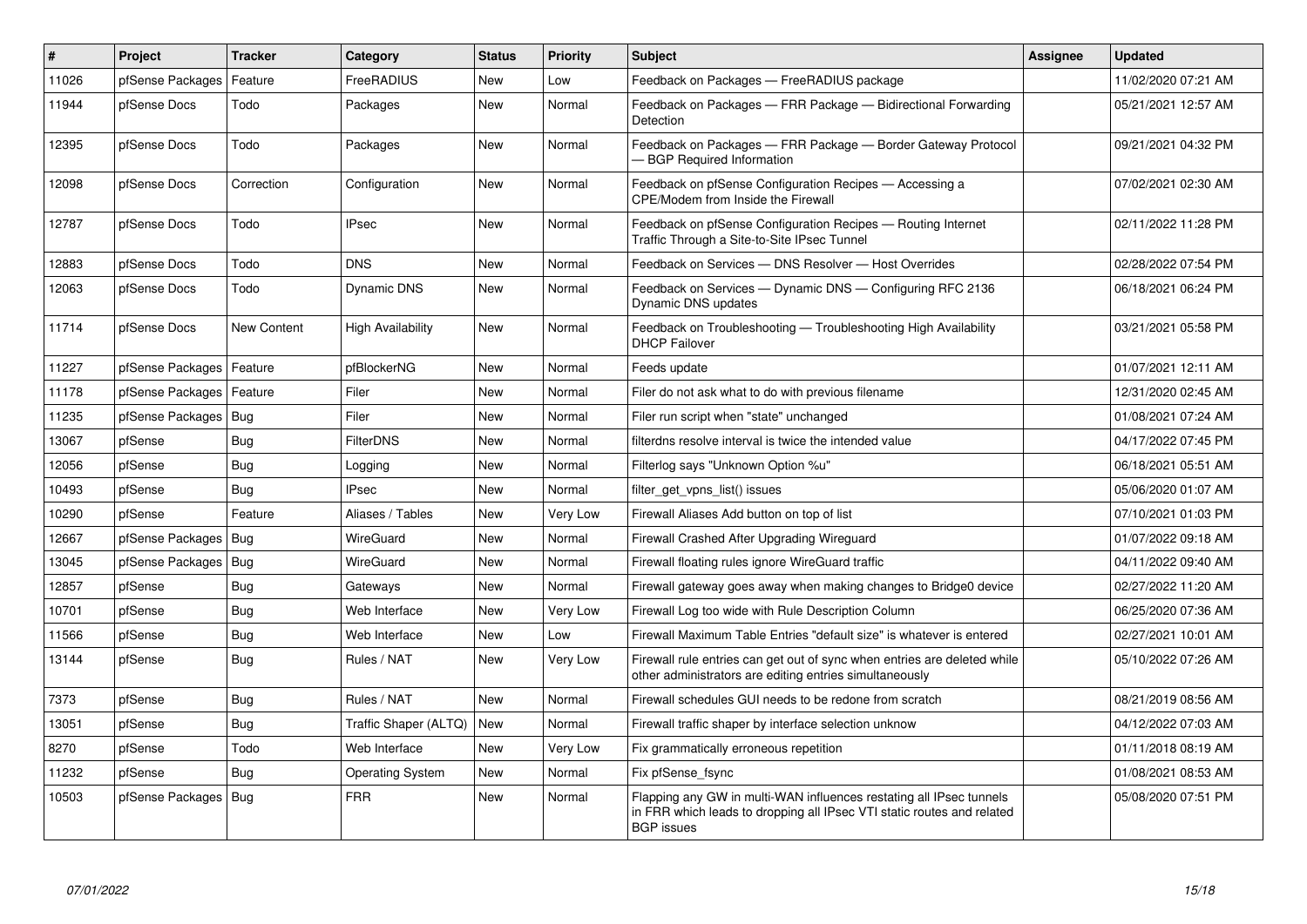| $\sharp$ | Project                | <b>Tracker</b> | Category                 | <b>Status</b> | <b>Priority</b> | <b>Subject</b>                                                                                                                                                     | <b>Assignee</b> | <b>Updated</b>      |
|----------|------------------------|----------------|--------------------------|---------------|-----------------|--------------------------------------------------------------------------------------------------------------------------------------------------------------------|-----------------|---------------------|
| 11026    | pfSense Packages       | Feature        | FreeRADIUS               | <b>New</b>    | Low             | Feedback on Packages - FreeRADIUS package                                                                                                                          |                 | 11/02/2020 07:21 AM |
| 11944    | pfSense Docs           | Todo           | Packages                 | <b>New</b>    | Normal          | Feedback on Packages - FRR Package - Bidirectional Forwarding<br>Detection                                                                                         |                 | 05/21/2021 12:57 AM |
| 12395    | pfSense Docs           | Todo           | Packages                 | <b>New</b>    | Normal          | Feedback on Packages - FRR Package - Border Gateway Protocol<br>- BGP Required Information                                                                         |                 | 09/21/2021 04:32 PM |
| 12098    | pfSense Docs           | Correction     | Configuration            | <b>New</b>    | Normal          | Feedback on pfSense Configuration Recipes - Accessing a<br><b>CPE/Modem from Inside the Firewall</b>                                                               |                 | 07/02/2021 02:30 AM |
| 12787    | pfSense Docs           | Todo           | <b>IPsec</b>             | <b>New</b>    | Normal          | Feedback on pfSense Configuration Recipes - Routing Internet<br>Traffic Through a Site-to-Site IPsec Tunnel                                                        |                 | 02/11/2022 11:28 PM |
| 12883    | pfSense Docs           | Todo           | <b>DNS</b>               | <b>New</b>    | Normal          | Feedback on Services - DNS Resolver - Host Overrides                                                                                                               |                 | 02/28/2022 07:54 PM |
| 12063    | pfSense Docs           | Todo           | <b>Dynamic DNS</b>       | <b>New</b>    | Normal          | Feedback on Services — Dynamic DNS — Configuring RFC 2136<br>Dynamic DNS updates                                                                                   |                 | 06/18/2021 06:24 PM |
| 11714    | pfSense Docs           | New Content    | <b>High Availability</b> | <b>New</b>    | Normal          | Feedback on Troubleshooting - Troubleshooting High Availability<br><b>DHCP Failover</b>                                                                            |                 | 03/21/2021 05:58 PM |
| 11227    | pfSense Packages       | Feature        | pfBlockerNG              | New           | Normal          | Feeds update                                                                                                                                                       |                 | 01/07/2021 12:11 AM |
| 11178    | pfSense Packages       | Feature        | Filer                    | <b>New</b>    | Normal          | Filer do not ask what to do with previous filename                                                                                                                 |                 | 12/31/2020 02:45 AM |
| 11235    | pfSense Packages   Bug |                | Filer                    | <b>New</b>    | Normal          | Filer run script when "state" unchanged                                                                                                                            |                 | 01/08/2021 07:24 AM |
| 13067    | pfSense                | Bug            | <b>FilterDNS</b>         | New           | Normal          | filterdns resolve interval is twice the intended value                                                                                                             |                 | 04/17/2022 07:45 PM |
| 12056    | pfSense                | <b>Bug</b>     | Logging                  | <b>New</b>    | Normal          | Filterlog says "Unknown Option %u"                                                                                                                                 |                 | 06/18/2021 05:51 AM |
| 10493    | pfSense                | Bug            | <b>IPsec</b>             | <b>New</b>    | Normal          | filter_get_vpns_list() issues                                                                                                                                      |                 | 05/06/2020 01:07 AM |
| 10290    | pfSense                | Feature        | Aliases / Tables         | <b>New</b>    | Very Low        | Firewall Aliases Add button on top of list                                                                                                                         |                 | 07/10/2021 01:03 PM |
| 12667    | pfSense Packages       | Bug            | WireGuard                | New           | Normal          | Firewall Crashed After Upgrading Wireguard                                                                                                                         |                 | 01/07/2022 09:18 AM |
| 13045    | pfSense Packages       | Bug            | WireGuard                | <b>New</b>    | Normal          | Firewall floating rules ignore WireGuard traffic                                                                                                                   |                 | 04/11/2022 09:40 AM |
| 12857    | pfSense                | <b>Bug</b>     | Gateways                 | New           | Normal          | Firewall gateway goes away when making changes to Bridge0 device                                                                                                   |                 | 02/27/2022 11:20 AM |
| 10701    | pfSense                | Bug            | Web Interface            | <b>New</b>    | Very Low        | Firewall Log too wide with Rule Description Column                                                                                                                 |                 | 06/25/2020 07:36 AM |
| 11566    | pfSense                | <b>Bug</b>     | Web Interface            | <b>New</b>    | Low             | Firewall Maximum Table Entries "default size" is whatever is entered                                                                                               |                 | 02/27/2021 10:01 AM |
| 13144    | pfSense                | Bug            | Rules / NAT              | <b>New</b>    | Very Low        | Firewall rule entries can get out of sync when entries are deleted while<br>other administrators are editing entries simultaneously                                |                 | 05/10/2022 07:26 AM |
| 7373     | pfSense                | Bug            | Rules / NAT              | <b>New</b>    | Normal          | Firewall schedules GUI needs to be redone from scratch                                                                                                             |                 | 08/21/2019 08:56 AM |
| 13051    | pfSense                | Bug            | Traffic Shaper (ALTQ)    | New           | Normal          | Firewall traffic shaper by interface selection unknow                                                                                                              |                 | 04/12/2022 07:03 AM |
| 8270     | pfSense                | Todo           | Web Interface            | New           | Very Low        | Fix grammatically erroneous repetition                                                                                                                             |                 | 01/11/2018 08:19 AM |
| 11232    | pfSense                | <b>Bug</b>     | <b>Operating System</b>  | New           | Normal          | Fix pfSense_fsync                                                                                                                                                  |                 | 01/08/2021 08:53 AM |
| 10503    | pfSense Packages       | Bug            | <b>FRR</b>               | New           | Normal          | Flapping any GW in multi-WAN influences restating all IPsec tunnels<br>in FRR which leads to dropping all IPsec VTI static routes and related<br><b>BGP</b> issues |                 | 05/08/2020 07:51 PM |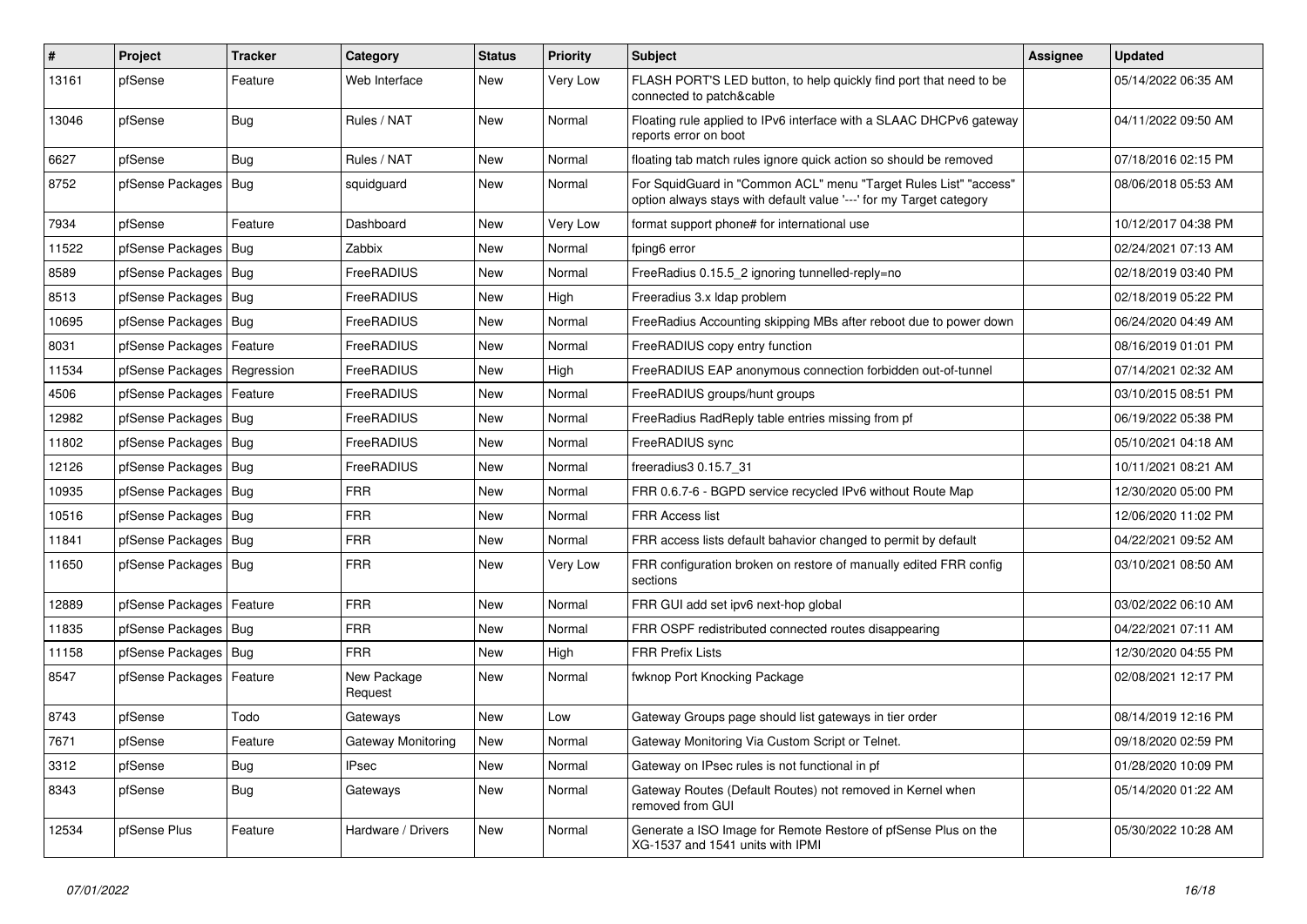| ∦     | Project                | Tracker    | Category               | <b>Status</b> | <b>Priority</b> | <b>Subject</b>                                                                                                                          | <b>Assignee</b> | <b>Updated</b>      |
|-------|------------------------|------------|------------------------|---------------|-----------------|-----------------------------------------------------------------------------------------------------------------------------------------|-----------------|---------------------|
| 13161 | pfSense                | Feature    | Web Interface          | New           | Very Low        | FLASH PORT'S LED button, to help quickly find port that need to be<br>connected to patch&cable                                          |                 | 05/14/2022 06:35 AM |
| 13046 | pfSense                | <b>Bug</b> | Rules / NAT            | New           | Normal          | Floating rule applied to IPv6 interface with a SLAAC DHCPv6 gateway<br>reports error on boot                                            |                 | 04/11/2022 09:50 AM |
| 6627  | pfSense                | Bug        | Rules / NAT            | New           | Normal          | floating tab match rules ignore quick action so should be removed                                                                       |                 | 07/18/2016 02:15 PM |
| 8752  | pfSense Packages       | Bug        | squidguard             | New           | Normal          | For SquidGuard in "Common ACL" menu "Target Rules List" "access"<br>option always stays with default value '---' for my Target category |                 | 08/06/2018 05:53 AM |
| 7934  | pfSense                | Feature    | Dashboard              | New           | Very Low        | format support phone# for international use                                                                                             |                 | 10/12/2017 04:38 PM |
| 11522 | pfSense Packages       | Bug        | Zabbix                 | New           | Normal          | fping6 error                                                                                                                            |                 | 02/24/2021 07:13 AM |
| 8589  | pfSense Packages       | Bug        | FreeRADIUS             | <b>New</b>    | Normal          | FreeRadius 0.15.5 2 ignoring tunnelled-reply=no                                                                                         |                 | 02/18/2019 03:40 PM |
| 8513  | pfSense Packages       | Bug        | FreeRADIUS             | New           | High            | Freeradius 3.x Idap problem                                                                                                             |                 | 02/18/2019 05:22 PM |
| 10695 | pfSense Packages   Bug |            | FreeRADIUS             | New           | Normal          | FreeRadius Accounting skipping MBs after reboot due to power down                                                                       |                 | 06/24/2020 04:49 AM |
| 8031  | pfSense Packages       | Feature    | FreeRADIUS             | <b>New</b>    | Normal          | FreeRADIUS copy entry function                                                                                                          |                 | 08/16/2019 01:01 PM |
| 11534 | pfSense Packages       | Regression | FreeRADIUS             | New           | High            | FreeRADIUS EAP anonymous connection forbidden out-of-tunnel                                                                             |                 | 07/14/2021 02:32 AM |
| 4506  | pfSense Packages       | Feature    | FreeRADIUS             | <b>New</b>    | Normal          | FreeRADIUS groups/hunt groups                                                                                                           |                 | 03/10/2015 08:51 PM |
| 12982 | pfSense Packages   Bug |            | FreeRADIUS             | New           | Normal          | FreeRadius RadReply table entries missing from pf                                                                                       |                 | 06/19/2022 05:38 PM |
| 11802 | pfSense Packages   Bug |            | FreeRADIUS             | <b>New</b>    | Normal          | FreeRADIUS sync                                                                                                                         |                 | 05/10/2021 04:18 AM |
| 12126 | pfSense Packages       | Bug        | FreeRADIUS             | <b>New</b>    | Normal          | freeradius3 0.15.7 31                                                                                                                   |                 | 10/11/2021 08:21 AM |
| 10935 | pfSense Packages   Bug |            | <b>FRR</b>             | <b>New</b>    | Normal          | FRR 0.6.7-6 - BGPD service recycled IPv6 without Route Map                                                                              |                 | 12/30/2020 05:00 PM |
| 10516 | pfSense Packages   Bug |            | <b>FRR</b>             | New           | Normal          | <b>FRR Access list</b>                                                                                                                  |                 | 12/06/2020 11:02 PM |
| 11841 | pfSense Packages       | Bug        | <b>FRR</b>             | New           | Normal          | FRR access lists default bahavior changed to permit by default                                                                          |                 | 04/22/2021 09:52 AM |
| 11650 | pfSense Packages   Bug |            | <b>FRR</b>             | New           | Very Low        | FRR configuration broken on restore of manually edited FRR config<br>sections                                                           |                 | 03/10/2021 08:50 AM |
| 12889 | pfSense Packages       | Feature    | <b>FRR</b>             | New           | Normal          | FRR GUI add set ipv6 next-hop global                                                                                                    |                 | 03/02/2022 06:10 AM |
| 11835 | pfSense Packages   Bug |            | <b>FRR</b>             | <b>New</b>    | Normal          | FRR OSPF redistributed connected routes disappearing                                                                                    |                 | 04/22/2021 07:11 AM |
| 11158 | pfSense Packages       | <b>Bug</b> | <b>FRR</b>             | <b>New</b>    | High            | <b>FRR Prefix Lists</b>                                                                                                                 |                 | 12/30/2020 04:55 PM |
| 8547  | pfSense Packages       | Feature    | New Package<br>Request | New           | Normal          | fwknop Port Knocking Package                                                                                                            |                 | 02/08/2021 12:17 PM |
| 8743  | pfSense                | Todo       | Gateways               | New           | Low             | Gateway Groups page should list gateways in tier order                                                                                  |                 | 08/14/2019 12:16 PM |
| 7671  | pfSense                | Feature    | Gateway Monitoring     | New           | Normal          | Gateway Monitoring Via Custom Script or Telnet.                                                                                         |                 | 09/18/2020 02:59 PM |
| 3312  | pfSense                | Bug        | <b>IPsec</b>           | New           | Normal          | Gateway on IPsec rules is not functional in pf                                                                                          |                 | 01/28/2020 10:09 PM |
| 8343  | pfSense                | <b>Bug</b> | Gateways               | New           | Normal          | Gateway Routes (Default Routes) not removed in Kernel when<br>removed from GUI                                                          |                 | 05/14/2020 01:22 AM |
| 12534 | pfSense Plus           | Feature    | Hardware / Drivers     | New           | Normal          | Generate a ISO Image for Remote Restore of pfSense Plus on the<br>XG-1537 and 1541 units with IPMI                                      |                 | 05/30/2022 10:28 AM |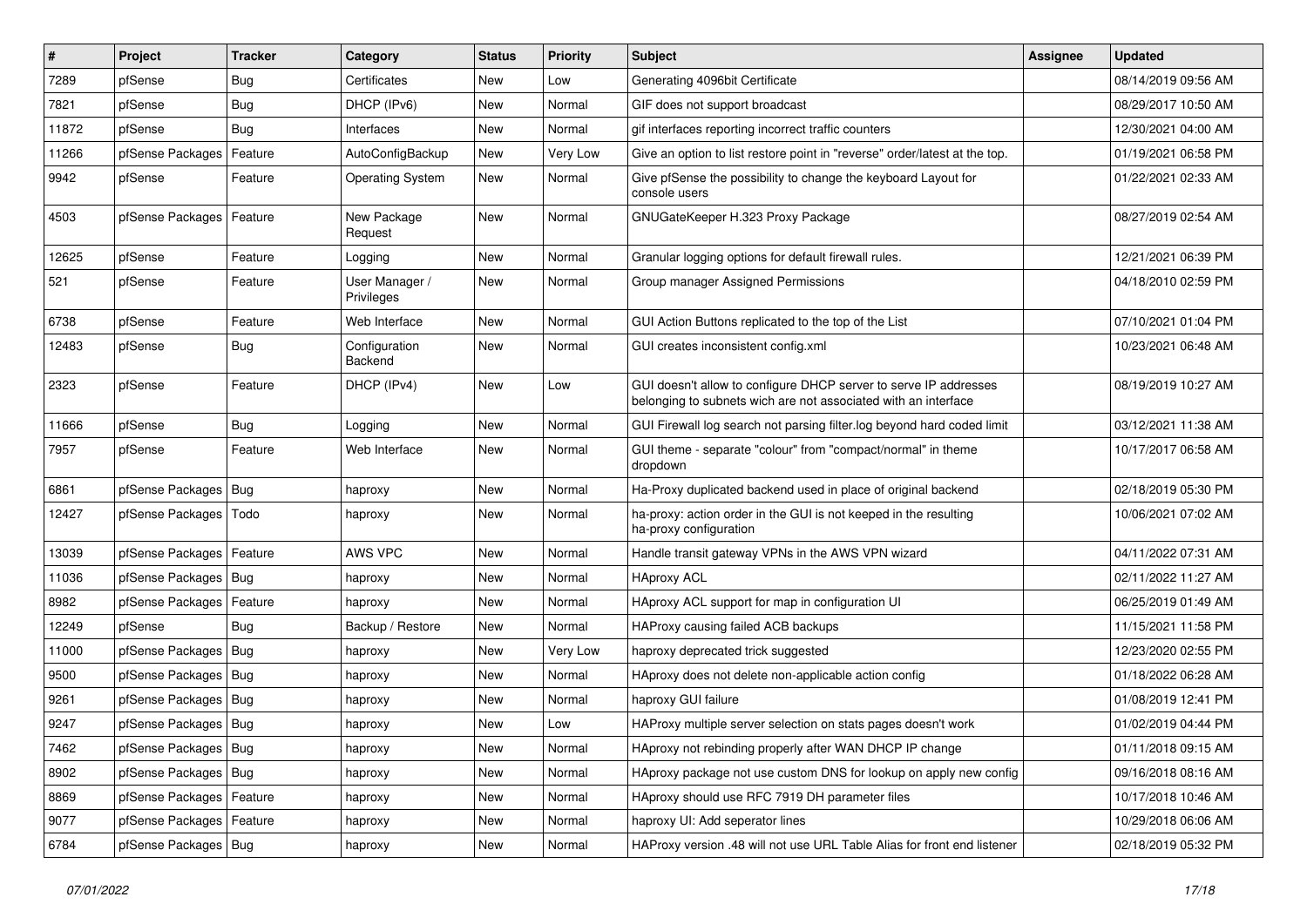| $\sharp$ | Project                    | <b>Tracker</b> | Category                     | <b>Status</b> | <b>Priority</b> | <b>Subject</b>                                                                                                                     | <b>Assignee</b> | <b>Updated</b>      |
|----------|----------------------------|----------------|------------------------------|---------------|-----------------|------------------------------------------------------------------------------------------------------------------------------------|-----------------|---------------------|
| 7289     | pfSense                    | <b>Bug</b>     | Certificates                 | New           | Low             | Generating 4096bit Certificate                                                                                                     |                 | 08/14/2019 09:56 AM |
| 7821     | pfSense                    | Bug            | DHCP (IPv6)                  | <b>New</b>    | Normal          | GIF does not support broadcast                                                                                                     |                 | 08/29/2017 10:50 AM |
| 11872    | pfSense                    | Bug            | Interfaces                   | New           | Normal          | gif interfaces reporting incorrect traffic counters                                                                                |                 | 12/30/2021 04:00 AM |
| 11266    | pfSense Packages           | Feature        | AutoConfigBackup             | New           | Very Low        | Give an option to list restore point in "reverse" order/latest at the top.                                                         |                 | 01/19/2021 06:58 PM |
| 9942     | pfSense                    | Feature        | <b>Operating System</b>      | New           | Normal          | Give pfSense the possibility to change the keyboard Layout for<br>console users                                                    |                 | 01/22/2021 02:33 AM |
| 4503     | pfSense Packages   Feature |                | New Package<br>Request       | New           | Normal          | GNUGateKeeper H.323 Proxy Package                                                                                                  |                 | 08/27/2019 02:54 AM |
| 12625    | pfSense                    | Feature        | Logging                      | New           | Normal          | Granular logging options for default firewall rules.                                                                               |                 | 12/21/2021 06:39 PM |
| 521      | pfSense                    | Feature        | User Manager /<br>Privileges | New           | Normal          | Group manager Assigned Permissions                                                                                                 |                 | 04/18/2010 02:59 PM |
| 6738     | pfSense                    | Feature        | Web Interface                | <b>New</b>    | Normal          | GUI Action Buttons replicated to the top of the List                                                                               |                 | 07/10/2021 01:04 PM |
| 12483    | pfSense                    | <b>Bug</b>     | Configuration<br>Backend     | <b>New</b>    | Normal          | GUI creates inconsistent config.xml                                                                                                |                 | 10/23/2021 06:48 AM |
| 2323     | pfSense                    | Feature        | DHCP (IPv4)                  | New           | Low             | GUI doesn't allow to configure DHCP server to serve IP addresses<br>belonging to subnets wich are not associated with an interface |                 | 08/19/2019 10:27 AM |
| 11666    | pfSense                    | Bug            | Logging                      | New           | Normal          | GUI Firewall log search not parsing filter.log beyond hard coded limit                                                             |                 | 03/12/2021 11:38 AM |
| 7957     | pfSense                    | Feature        | Web Interface                | New           | Normal          | GUI theme - separate "colour" from "compact/normal" in theme<br>dropdown                                                           |                 | 10/17/2017 06:58 AM |
| 6861     | pfSense Packages   Bug     |                | haproxy                      | New           | Normal          | Ha-Proxy duplicated backend used in place of original backend                                                                      |                 | 02/18/2019 05:30 PM |
| 12427    | pfSense Packages   Todo    |                | haproxy                      | New           | Normal          | ha-proxy: action order in the GUI is not keeped in the resulting<br>ha-proxy configuration                                         |                 | 10/06/2021 07:02 AM |
| 13039    | pfSense Packages   Feature |                | AWS VPC                      | New           | Normal          | Handle transit gateway VPNs in the AWS VPN wizard                                                                                  |                 | 04/11/2022 07:31 AM |
| 11036    | pfSense Packages   Bug     |                | haproxy                      | <b>New</b>    | Normal          | <b>HAproxy ACL</b>                                                                                                                 |                 | 02/11/2022 11:27 AM |
| 8982     | pfSense Packages           | Feature        | haproxy                      | New           | Normal          | HAproxy ACL support for map in configuration UI                                                                                    |                 | 06/25/2019 01:49 AM |
| 12249    | pfSense                    | Bug            | Backup / Restore             | New           | Normal          | HAProxy causing failed ACB backups                                                                                                 |                 | 11/15/2021 11:58 PM |
| 11000    | pfSense Packages   Bug     |                | haproxy                      | New           | Very Low        | haproxy deprecated trick suggested                                                                                                 |                 | 12/23/2020 02:55 PM |
| 9500     | pfSense Packages   Bug     |                | haproxy                      | New           | Normal          | HAproxy does not delete non-applicable action config                                                                               |                 | 01/18/2022 06:28 AM |
| 9261     | pfSense Packages   Bug     |                | haproxy                      | <b>New</b>    | Normal          | haproxy GUI failure                                                                                                                |                 | 01/08/2019 12:41 PM |
| 9247     | pfSense Packages   Bug     |                | haproxy                      | New           | Low             | HAProxy multiple server selection on stats pages doesn't work                                                                      |                 | 01/02/2019 04:44 PM |
| 7462     | pfSense Packages   Bug     |                | haproxy                      | New           | Normal          | HAproxy not rebinding properly after WAN DHCP IP change                                                                            |                 | 01/11/2018 09:15 AM |
| 8902     | pfSense Packages   Bug     |                | haproxy                      | New           | Normal          | HAproxy package not use custom DNS for lookup on apply new config                                                                  |                 | 09/16/2018 08:16 AM |
| 8869     | pfSense Packages   Feature |                | haproxy                      | New           | Normal          | HAproxy should use RFC 7919 DH parameter files                                                                                     |                 | 10/17/2018 10:46 AM |
| 9077     | pfSense Packages   Feature |                | haproxy                      | New           | Normal          | haproxy UI: Add seperator lines                                                                                                    |                 | 10/29/2018 06:06 AM |
| 6784     | pfSense Packages   Bug     |                | haproxy                      | New           | Normal          | HAProxy version .48 will not use URL Table Alias for front end listener                                                            |                 | 02/18/2019 05:32 PM |